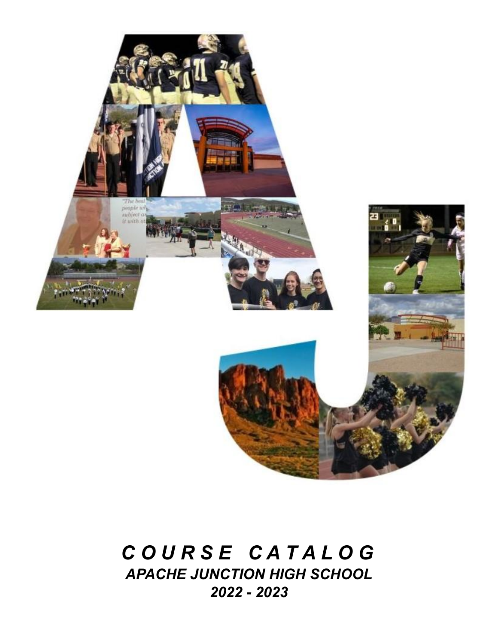

# *C O U R S E C A T A L O G APACHE JUNCTION HIGH SCHOOL 2022 - 2023*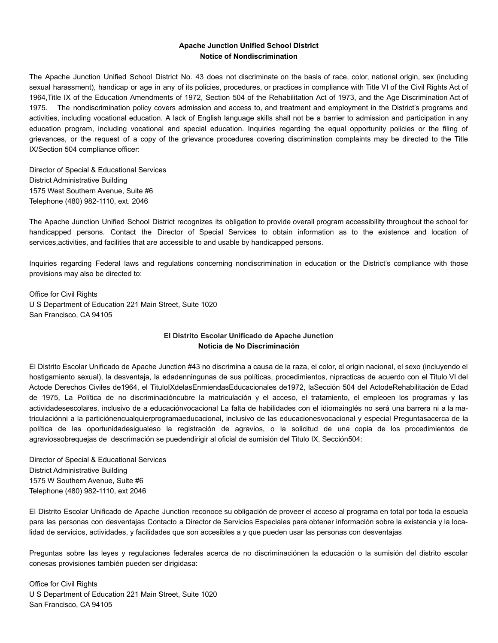# **Apache Junction Unified School District Notice of Nondiscrimination**

The Apache Junction Unified School District No. 43 does not discriminate on the basis of race, color, national origin, sex (including sexual harassment), handicap or age in any of its policies, procedures, or practices in compliance with Title VI of the Civil Rights Act of 1964,Title IX of the Education Amendments of 1972, Section 504 of the Rehabilitation Act of 1973, and the Age Discrimination Act of 1975. The nondiscrimination policy covers admission and access to, and treatment and employment in the District's programs and activities, including vocational education. A lack of English language skills shall not be a barrier to admission and participation in any education program, including vocational and special education. Inquiries regarding the equal opportunity policies or the filing of grievances, or the request of a copy of the grievance procedures covering discrimination complaints may be directed to the Title IX/Section 504 compliance officer:

Director of Special & Educational Services District Administrative Building 1575 West Southern Avenue, Suite #6 Telephone (480) 982-1110, ext. 2046

The Apache Junction Unified School District recognizes its obligation to provide overall program accessibility throughout the school for handicapped persons. Contact the Director of Special Services to obtain information as to the existence and location of services,activities, and facilities that are accessible to and usable by handicapped persons.

Inquiries regarding Federal laws and regulations concerning nondiscrimination in education or the District's compliance with those provisions may also be directed to:

Office for Civil Rights U S Department of Education 221 Main Street, Suite 1020 San Francisco, CA 94105

# **El Distrito Escolar Unificado de Apache Junction Noticia de No Discriminación**

El Distrito Escolar Unificado de Apache Junction #43 no discrimina a causa de la raza, el color, el origin nacional, el sexo (incluyendo el hostigamiento sexual), la desventaja, la edadenningunas de sus políticas, procedimientos, nipracticas de acuerdo con el Titulo VI del Actode Derechos Civiles de1964, el TituloIXdelasEnmiendasEducacionales de1972, laSección 504 del ActodeRehabilitación de Edad de 1975, La Política de no discriminacióncubre la matriculación y el acceso, el tratamiento, el empleoen los programas y las actividadesescolares, inclusivo de a educaciónvocacional La falta de habilidades con el idiomainglés no será una barrera ni a la matriculaciónni a la particiónencualquierprogramaeducacional, inclusivo de las educacionesvocacional y especial Preguntasacerca de la política de las oportunidadesigualeso la registración de agravios, o la solicitud de una copia de los procedimientos de agraviossobrequejas de descrimación se puedendirigir al oficial de sumisión del Titulo IX, Sección504:

Director of Special & Educational Services District Administrative Building 1575 W Southern Avenue, Suite #6 Telephone (480) 982-1110, ext 2046

El Distrito Escolar Unificado de Apache Junction reconoce su obligación de proveer el acceso al programa en total por toda la escuela para las personas con desventajas Contacto a Director de Servicios Especiales para obtener información sobre la existencia y la localidad de servicios, actividades, y facilidades que son accesibles a y que pueden usar las personas con desventajas

Preguntas sobre las leyes y regulaciones federales acerca de no discriminaciónen la educación o la sumisión del distrito escolar conesas provisiones también pueden ser dirigidasa:

Office for Civil Rights U S Department of Education 221 Main Street, Suite 1020 San Francisco, CA 94105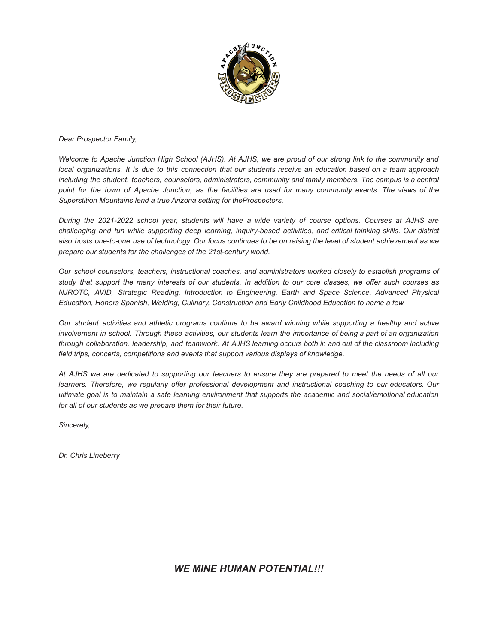

*Dear Prospector Family,*

Welcome to Apache Junction High School (AJHS). At AJHS, we are proud of our strong link to the community and local organizations. It is due to this connection that our students receive an education based on a team approach *including the student, teachers, counselors, administrators, community and family members. The campus is a central* point for the town of Apache Junction, as the facilities are used for many community events. The views of the *Superstition Mountains lend a true Arizona setting for theProspectors.*

During the 2021-2022 school year, students will have a wide variety of course options. Courses at AJHS are challenging and fun while supporting deep learning, inquiry-based activities, and critical thinking skills. Our district also hosts one-to-one use of technology. Our focus continues to be on raising the level of student achievement as we *prepare our students for the challenges of the 21st-century world.*

*Our school counselors, teachers, instructional coaches, and administrators worked closely to establish programs of* study that support the many interests of our students. In addition to our core classes, we offer such courses as *NJROTC, AVID, Strategic Reading, Introduction to Engineering, Earth and Space Science, Advanced Physical Education, Honors Spanish, Welding, Culinary, Construction and Early Childhood Education to name a few.*

Our student activities and athletic programs continue to be award winning while supporting a healthy and active involvement in school. Through these activities, our students learn the importance of being a part of an organization through collaboration, leadership, and teamwork. At AJHS learning occurs both in and out of the classroom including *field trips, concerts, competitions and events that support various displays of knowledge.*

At AJHS we are dedicated to supporting our teachers to ensure they are prepared to meet the needs of all our *learners. Therefore, we regularly offer professional development and instructional coaching to our educators. Our* ultimate goal is to maintain a safe learning environment that supports the academic and social/emotional education *for all of our students as we prepare them for their future.*

*Sincerely,*

*Dr. Chris Lineberry*

*WE MINE HUMAN POTENTIAL!!!*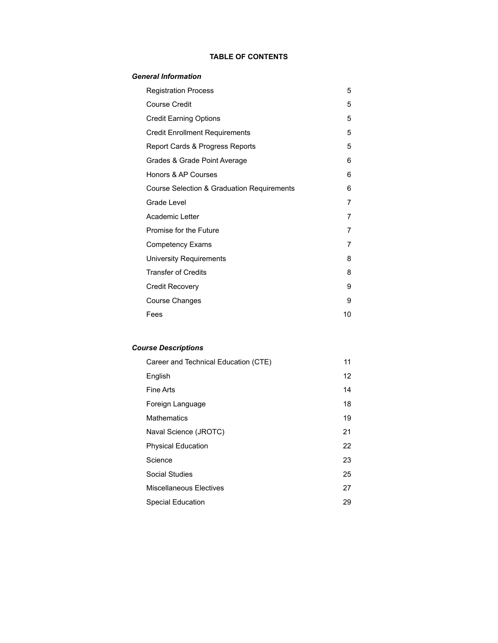# **TABLE OF CONTENTS**

# *General Information*

| <b>Registration Process</b>                | 5  |
|--------------------------------------------|----|
| <b>Course Credit</b>                       | 5  |
| <b>Credit Earning Options</b>              | 5  |
| <b>Credit Enrollment Requirements</b>      | 5  |
| Report Cards & Progress Reports            | 5  |
| Grades & Grade Point Average               | 6  |
| Honors & AP Courses                        | 6  |
| Course Selection & Graduation Requirements | 6  |
| Grade Level                                | 7  |
| Academic Letter                            | 7  |
| Promise for the Future                     | 7  |
| <b>Competency Exams</b>                    | 7  |
| University Requirements                    | 8  |
| <b>Transfer of Credits</b>                 | 8  |
| Credit Recovery                            | 9  |
| <b>Course Changes</b>                      | 9  |
| Fees                                       | 10 |
|                                            |    |

# *Course Descriptions*

| Career and Technical Education (CTE) | 11 |
|--------------------------------------|----|
| English                              | 12 |
| Fine Arts                            | 14 |
| Foreign Language                     | 18 |
| <b>Mathematics</b>                   | 19 |
| Naval Science (JROTC)                | 21 |
| <b>Physical Education</b>            | 22 |
| Science                              | 23 |
| Social Studies                       | 25 |
| Miscellaneous Electives              | 27 |
| Special Education                    | 29 |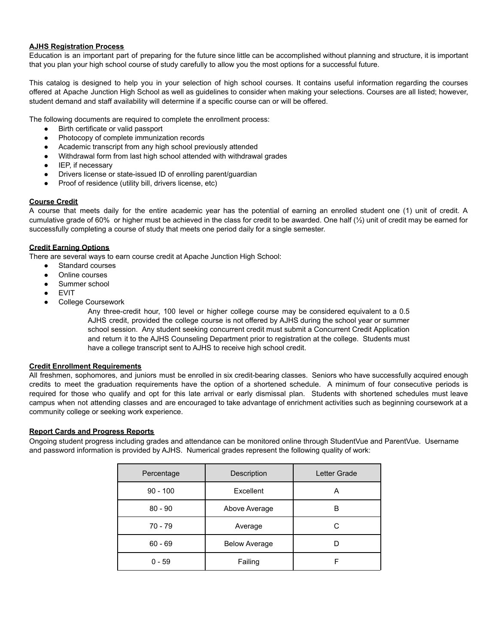# **AJHS Registration Process**

Education is an important part of preparing for the future since little can be accomplished without planning and structure, it is important that you plan your high school course of study carefully to allow you the most options for a successful future.

This catalog is designed to help you in your selection of high school courses. It contains useful information regarding the courses offered at Apache Junction High School as well as guidelines to consider when making your selections. Courses are all listed; however, student demand and staff availability will determine if a specific course can or will be offered.

The following documents are required to complete the enrollment process:

- Birth certificate or valid passport
- Photocopy of complete immunization records
- Academic transcript from any high school previously attended
- Withdrawal form from last high school attended with withdrawal grades
- IEP, if necessary
- Drivers license or state-issued ID of enrolling parent/guardian
- Proof of residence (utility bill, drivers license, etc)

# **Course Credit**

A course that meets daily for the entire academic year has the potential of earning an enrolled student one (1) unit of credit. A cumulative grade of 60% or higher must be achieved in the class for credit to be awarded. One half  $(\frac{1}{2})$  unit of credit may be earned for successfully completing a course of study that meets one period daily for a single semester.

# **Credit Earning Options**

There are several ways to earn course credit at Apache Junction High School:

- Standard courses
- Online courses
- Summer school
- **EVIT**
- College Coursework

Any three-credit hour, 100 level or higher college course may be considered equivalent to a 0.5 AJHS credit, provided the college course is not offered by AJHS during the school year or summer school session. Any student seeking concurrent credit must submit a Concurrent Credit Application and return it to the AJHS Counseling Department prior to registration at the college. Students must have a college transcript sent to AJHS to receive high school credit.

# **Credit Enrollment Requirements**

All freshmen, sophomores, and juniors must be enrolled in six credit-bearing classes. Seniors who have successfully acquired enough credits to meet the graduation requirements have the option of a shortened schedule. A minimum of four consecutive periods is required for those who qualify and opt for this late arrival or early dismissal plan. Students with shortened schedules must leave campus when not attending classes and are encouraged to take advantage of enrichment activities such as beginning coursework at a community college or seeking work experience.

# **Report Cards and Progress Reports**

Ongoing student progress including grades and attendance can be monitored online through StudentVue and ParentVue. Username and password information is provided by AJHS. Numerical grades represent the following quality of work:

| Percentage | Description          | Letter Grade |
|------------|----------------------|--------------|
| $90 - 100$ | Excellent            | Α            |
| $80 - 90$  | Above Average        | в            |
| 70 - 79    | Average              | С            |
| $60 - 69$  | <b>Below Average</b> |              |
| $0 - 59$   | Failing              |              |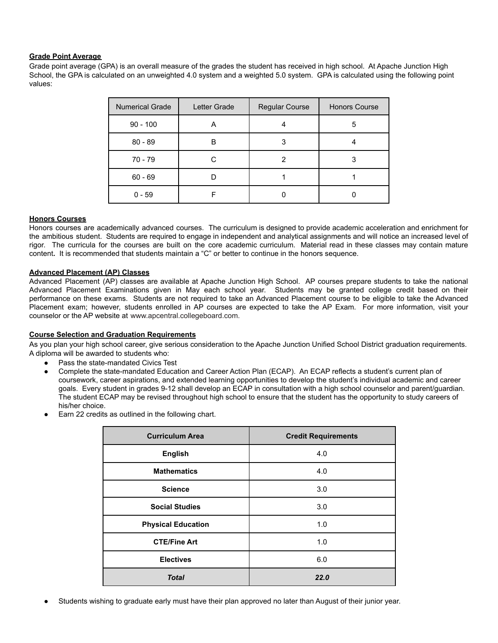# **Grade Point Average**

Grade point average (GPA) is an overall measure of the grades the student has received in high school. At Apache Junction High School, the GPA is calculated on an unweighted 4.0 system and a weighted 5.0 system. GPA is calculated using the following point values:

| <b>Numerical Grade</b> | Letter Grade | <b>Regular Course</b> | <b>Honors Course</b> |
|------------------------|--------------|-----------------------|----------------------|
| $90 - 100$             | Α            |                       | 5                    |
| $80 - 89$              | B            |                       |                      |
| 70 - 79                | С            | 2                     | 3                    |
| $60 - 69$              |              |                       |                      |
| $0 - 59$               |              |                       |                      |

# **Honors Courses**

Honors courses are academically advanced courses. The curriculum is designed to provide academic acceleration and enrichment for the ambitious student. Students are required to engage in independent and analytical assignments and will notice an increased level of rigor. The curricula for the courses are built on the core academic curriculum. Material read in these classes may contain mature content**.** It is recommended that students maintain a "C" or better to continue in the honors sequence.

# **Advanced Placement (AP) Classes**

Advanced Placement (AP) classes are available at Apache Junction High School. AP courses prepare students to take the national Advanced Placement Examinations given in May each school year. Students may be granted college credit based on their performance on these exams. Students are not required to take an Advanced Placement course to be eligible to take the Advanced Placement exam; however, students enrolled in AP courses are expected to take the AP Exam. For more information, visit your counselor or the AP website at [www.apcentral.collegeboard.com.](http://www.apcentral.collegeboard.com/)

### **Course Selection and Graduation Requirements**

As you plan your high school career, give serious consideration to the Apache Junction Unified School District graduation requirements. A diploma will be awarded to students who:

- Pass the state-mandated Civics Test
- Complete the state-mandated Education and Career Action Plan (ECAP). An ECAP reflects a student's current plan of coursework, career aspirations, and extended learning opportunities to develop the student's individual academic and career goals. Every student in grades 9-12 shall develop an ECAP in consultation with a high school counselor and parent/guardian. The student ECAP may be revised throughout high school to ensure that the student has the opportunity to study careers of his/her choice.
- Earn 22 credits as outlined in the following chart.

| <b>Curriculum Area</b>    | <b>Credit Requirements</b> |
|---------------------------|----------------------------|
| <b>English</b>            | 4.0                        |
| <b>Mathematics</b>        | 4.0                        |
| <b>Science</b>            | 3.0                        |
| <b>Social Studies</b>     | 3.0                        |
| <b>Physical Education</b> | 1.0                        |
| <b>CTE/Fine Art</b>       | 1.0                        |
| <b>Electives</b>          | 6.0                        |
| <b>Total</b>              | 22.0                       |

Students wishing to graduate early must have their plan approved no later than August of their junior year.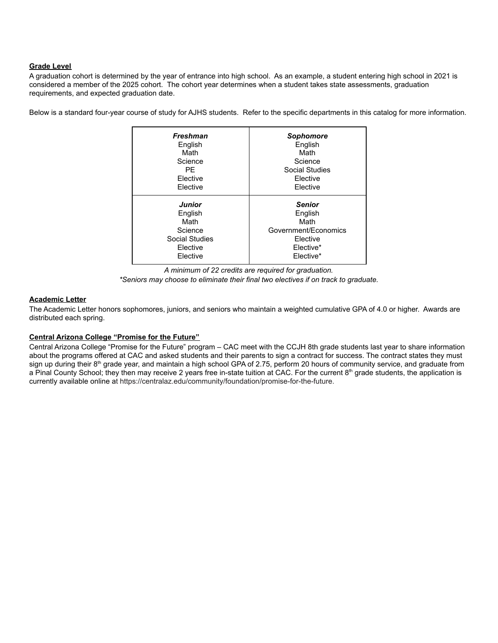# **Grade Level**

A graduation cohort is determined by the year of entrance into high school. As an example, a student entering high school in 2021 is considered a member of the 2025 cohort. The cohort year determines when a student takes state assessments, graduation requirements, and expected graduation date.

Below is a standard four-year course of study for AJHS students. Refer to the specific departments in this catalog for more information.

| <b>Freshman</b>       | <b>Sophomore</b>     |
|-----------------------|----------------------|
| English               | English              |
| Math                  | Math                 |
| Science               | Science              |
| PF                    | Social Studies       |
| Elective              | Elective             |
| Elective              | Elective             |
| <b>Junior</b>         | <b>Senior</b>        |
| English               | English              |
| Math                  | Math                 |
| Science               | Government/Economics |
| <b>Social Studies</b> | Elective             |
| Elective              | Elective*            |
| Elective              | Elective*            |



# **Academic Letter**

The Academic Letter honors sophomores, juniors, and seniors who maintain a weighted cumulative GPA of 4.0 or higher. Awards are distributed each spring.

### **Central Arizona College "Promise for the Future"**

Central Arizona College "Promise for the Future" program – CAC meet with the CCJH 8th grade students last year to share information about the programs offered at CAC and asked students and their parents to sign a contract for success. The contract states they must sign up during their 8<sup>th</sup> grade year, and maintain a high school GPA of 2.75, perform 20 hours of community service, and graduate from a Pinal County School; they then may receive 2 years free in-state tuition at CAC. For the current  $8<sup>th</sup>$  grade students, the application is currently available online at https://centralaz.edu/community/foundation/promise-for-the-future.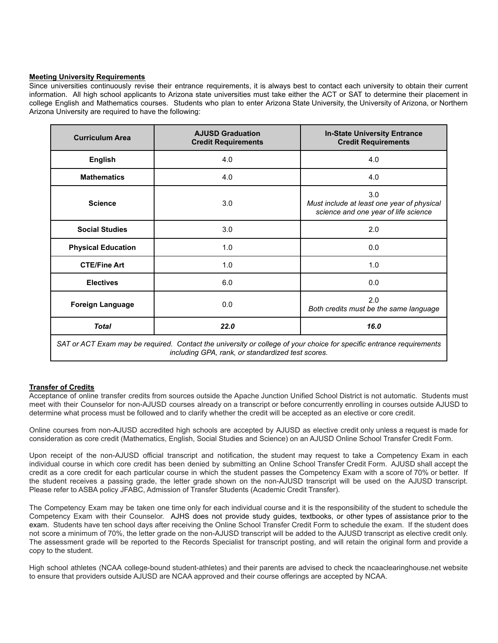### **Meeting University Requirements**

Since universities continuously revise their entrance requirements, it is always best to contact each university to obtain their current information. All high school applicants to Arizona state universities must take either the ACT or SAT to determine their placement in college English and Mathematics courses. Students who plan to enter Arizona State University, the University of Arizona, or Northern Arizona University are required to have the following:

| <b>Curriculum Area</b>                                                                                                                                                    | <b>AJUSD Graduation</b><br><b>In-State University Entrance</b><br><b>Credit Requirements</b><br><b>Credit Requirements</b> |                                                                                           |  |  |
|---------------------------------------------------------------------------------------------------------------------------------------------------------------------------|----------------------------------------------------------------------------------------------------------------------------|-------------------------------------------------------------------------------------------|--|--|
| <b>English</b>                                                                                                                                                            | 4.0                                                                                                                        | 4.0                                                                                       |  |  |
| <b>Mathematics</b>                                                                                                                                                        | 4.0                                                                                                                        | 4.0                                                                                       |  |  |
| <b>Science</b>                                                                                                                                                            | 3.0                                                                                                                        | 3.0<br>Must include at least one year of physical<br>science and one year of life science |  |  |
| <b>Social Studies</b>                                                                                                                                                     | 3.0                                                                                                                        | 2.0                                                                                       |  |  |
| <b>Physical Education</b>                                                                                                                                                 | 1.0                                                                                                                        | 0.0                                                                                       |  |  |
| <b>CTE/Fine Art</b>                                                                                                                                                       | 1.0                                                                                                                        | 1.0                                                                                       |  |  |
| <b>Electives</b>                                                                                                                                                          | 6.0                                                                                                                        | 0.0                                                                                       |  |  |
| <b>Foreign Language</b>                                                                                                                                                   | 0.0                                                                                                                        | 2.0<br>Both credits must be the same language                                             |  |  |
| <b>Total</b>                                                                                                                                                              | 22.0                                                                                                                       | 16.0                                                                                      |  |  |
| SAT or ACT Exam may be required. Contact the university or college of your choice for specific entrance requirements<br>including GPA, rank, or standardized test scores. |                                                                                                                            |                                                                                           |  |  |

### **Transfer of Credits**

Acceptance of online transfer credits from sources outside the Apache Junction Unified School District is not automatic. Students must meet with their Counselor for non-AJUSD courses already on a transcript or before concurrently enrolling in courses outside AJUSD to determine what process must be followed and to clarify whether the credit will be accepted as an elective or core credit.

Online courses from non-AJUSD accredited high schools are accepted by AJUSD as elective credit only unless a request is made for consideration as core credit (Mathematics, English, Social Studies and Science) on an AJUSD Online School Transfer Credit Form.

Upon receipt of the non-AJUSD official transcript and notification, the student may request to take a Competency Exam in each individual course in which core credit has been denied by submitting an Online School Transfer Credit Form. AJUSD shall accept the credit as a core credit for each particular course in which the student passes the Competency Exam with a score of 70% or better. If the student receives a passing grade, the letter grade shown on the non-AJUSD transcript will be used on the AJUSD transcript. Please refer to ASBA policy JFABC, Admission of Transfer Students (Academic Credit Transfer).

The Competency Exam may be taken one time only for each individual course and it is the responsibility of the student to schedule the Competency Exam with their Counselor. AJHS does not provide study guides, textbooks, or other types of assistance prior to the exam. Students have ten school days after receiving the Online School Transfer Credit Form to schedule the exam. If the student does not score a minimum of 70%, the letter grade on the non-AJUSD transcript will be added to the AJUSD transcript as elective credit only. The assessment grade will be reported to the Records Specialist for transcript posting, and will retain the original form and provide a copy to the student.

High school athletes (NCAA college-bound student-athletes) and their parents are advised to check the ncaaclearinghouse.net website to ensure that providers outside AJUSD are NCAA approved and their course offerings are accepted by NCAA.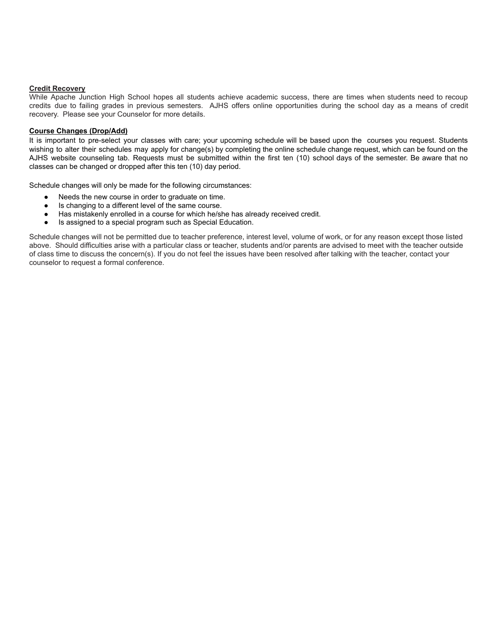### **Credit Recovery**

While Apache Junction High School hopes all students achieve academic success, there are times when students need to recoup credits due to failing grades in previous semesters. AJHS offers online opportunities during the school day as a means of credit recovery. Please see your Counselor for more details.

### **Course Changes (Drop/Add)**

It is important to pre-select your classes with care; your upcoming schedule will be based upon the courses you request. Students wishing to alter their schedules may apply for change(s) by completing the online schedule change request, which can be found on the AJHS website counseling tab. Requests must be submitted within the first ten (10) school days of the semester. Be aware that no classes can be changed or dropped after this ten (10) day period.

Schedule changes will only be made for the following circumstances:

- Needs the new course in order to graduate on time.
- Is changing to a different level of the same course.
- Has mistakenly enrolled in a course for which he/she has already received credit.
- Is assigned to a special program such as Special Education.

Schedule changes will not be permitted due to teacher preference, interest level, volume of work, or for any reason except those listed above. Should difficulties arise with a particular class or teacher, students and/or parents are advised to meet with the teacher outside of class time to discuss the concern(s). If you do not feel the issues have been resolved after talking with the teacher, contact your counselor to request a formal conference.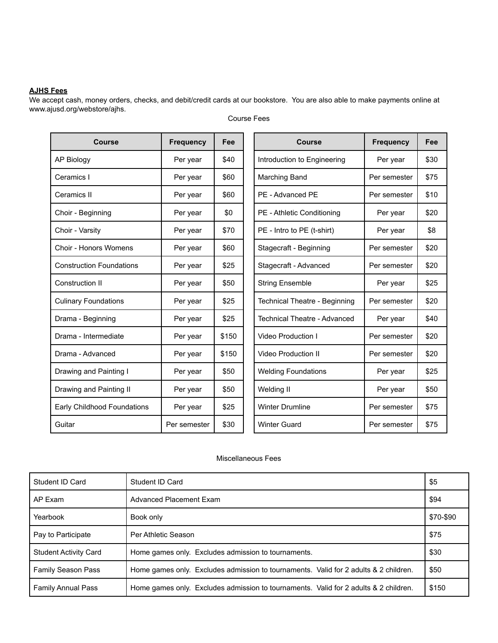# **AJHS Fees**

We accept cash, money orders, checks, and debit/credit cards at our bookstore. You are also able to make payments online at www.ajusd.org/webstore/ajhs.

| <b>Course</b>                   | <b>Frequency</b> | Fee   | <b>Course</b>                       | <b>Frequency</b> | Fee  |
|---------------------------------|------------------|-------|-------------------------------------|------------------|------|
| <b>AP Biology</b>               | Per year         | \$40  | Introduction to Engineering         | Per year         | \$30 |
| Ceramics I                      | Per year         | \$60  | Marching Band                       | Per semester     | \$75 |
| Ceramics II                     | Per year         | \$60  | PE - Advanced PE                    | Per semester     | \$10 |
| Choir - Beginning               | Per year         | \$0   | PE - Athletic Conditioning          | Per year         | \$20 |
| Choir - Varsity                 | Per year         | \$70  | PE - Intro to PE (t-shirt)          | Per year         | \$8  |
| <b>Choir - Honors Womens</b>    | Per year         | \$60  | Stagecraft - Beginning              | Per semester     | \$20 |
| <b>Construction Foundations</b> | Per year         | \$25  | Stagecraft - Advanced               | Per semester     | \$20 |
| Construction II                 | Per year         | \$50  | <b>String Ensemble</b>              | Per year         | \$25 |
| <b>Culinary Foundations</b>     | Per year         | \$25  | Technical Theatre - Beginning       | Per semester     | \$20 |
| Drama - Beginning               | Per year         | \$25  | <b>Technical Theatre - Advanced</b> | Per year         | \$40 |
| Drama - Intermediate            | Per year         | \$150 | <b>Video Production I</b>           | Per semester     | \$20 |
| Drama - Advanced                | Per year         | \$150 | <b>Video Production II</b>          | Per semester     | \$20 |
| Drawing and Painting I          | Per year         | \$50  | <b>Welding Foundations</b>          | Per year         | \$25 |
| Drawing and Painting II         | Per year         | \$50  | Welding II                          | Per year         | \$50 |
| Early Childhood Foundations     | Per year         | \$25  | <b>Winter Drumline</b>              | Per semester     | \$75 |
| Guitar                          | Per semester     | \$30  | <b>Winter Guard</b>                 | Per semester     | \$75 |

Course Fees

# Miscellaneous Fees

| Student ID Card              | Student ID Card                                                                      | \$5       |
|------------------------------|--------------------------------------------------------------------------------------|-----------|
| AP Exam                      | Advanced Placement Exam                                                              | \$94      |
| Yearbook                     | Book only                                                                            | \$70-\$90 |
| Pay to Participate           | Per Athletic Season                                                                  | \$75      |
| <b>Student Activity Card</b> | Home games only. Excludes admission to tournaments.                                  | \$30      |
| <b>Family Season Pass</b>    | Home games only. Excludes admission to tournaments. Valid for 2 adults & 2 children. | \$50      |
| <b>Family Annual Pass</b>    | Home games only. Excludes admission to tournaments. Valid for 2 adults & 2 children. | \$150     |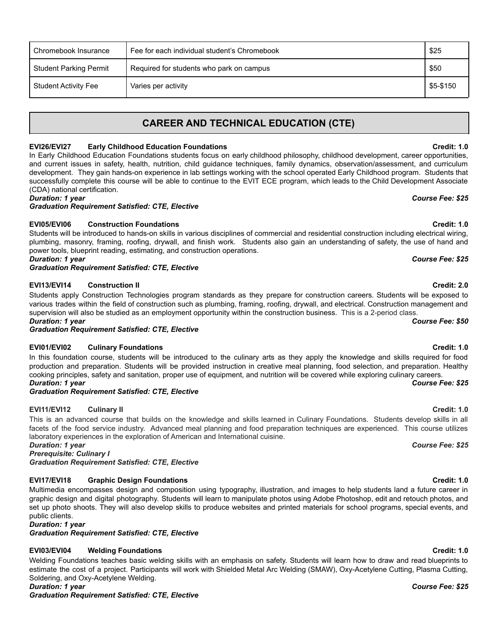| Chromebook Insurance          | Fee for each individual student's Chromebook | \$25      |
|-------------------------------|----------------------------------------------|-----------|
| <b>Student Parking Permit</b> | Required for students who park on campus     | \$50      |
| <b>Student Activity Fee</b>   | Varies per activity                          | \$5-\$150 |

# **CAREER AND TECHNICAL EDUCATION (CTE)**

# **EVI26/EVI27 Early Childhood Education Foundations Credit: 1.0**

In Early Childhood Education Foundations students focus on early childhood philosophy, childhood development, career opportunities, and current issues in safety, health, nutrition, child guidance techniques, family dynamics, observation/assessment, and curriculum development. They gain hands-on experience in lab settings working with the school operated Early Childhood program. Students that successfully complete this course will be able to continue to the EVIT ECE program, which leads to the Child Development Associate (CDA) national certification.

*Duration: 1 year Course Fee: \$25*

*Graduation Requirement Satisfied: CTE, Elective*

# **EVI05/EVI06 Construction Foundations Credit: 1.0**

Students will be introduced to hands-on skills in various disciplines of commercial and residential construction including electrical wiring, plumbing, masonry, framing, roofing, drywall, and finish work. Students also gain an understanding of safety, the use of hand and power tools, blueprint reading, estimating, and construction operations. *Duration: 1 year Course Fee: \$25*

*Graduation Requirement Satisfied: CTE, Elective*

# **EVI13/EVI14 Construction II Credit: 2.0**

Students apply Construction Technologies program standards as they prepare for construction careers. Students will be exposed to various trades within the field of construction such as plumbing, framing, roofing, drywall, and electrical. Construction management and supervision will also be studied as an employment opportunity within the construction business. This is a 2-period class. *Duration: 1 year Course Fee: \$50*

*Graduation Requirement Satisfied: CTE, Elective*

# **EVI01/EVI02 Culinary Foundations Credit: 1.0**

In this foundation course, students will be introduced to the culinary arts as they apply the knowledge and skills required for food production and preparation. Students will be provided instruction in creative meal planning, food selection, and preparation. Healthy cooking principles, safety and sanitation, proper use of equipment, and nutrition will be covered while exploring culinary careers. *Duration: 1 year Course Fee: \$25*

# *Graduation Requirement Satisfied: CTE, Elective*

# **EVI11/EVI12 Culinary II Credit: 1.0**

facets of the food service industry. Advanced meal planning and food preparation techniques are experienced. This course utilizes laboratory experiences in the exploration of American and International cuisine. *Duration: 1 year Course Fee: \$25*

This is an advanced course that builds on the knowledge and skills learned in Culinary Foundations. Students develop skills in all

*Prerequisite: Culinary I Graduation Requirement Satisfied: CTE, Elective*

# **EVI17/EVI18 Graphic Design Foundations Credit: 1.0**

Multimedia encompasses design and composition using typography, illustration, and images to help students land a future career in graphic design and digital photography. Students will learn to manipulate photos using Adobe Photoshop, edit and retouch photos, and set up photo shoots. They will also develop skills to produce websites and printed materials for school programs, special events, and public clients.

*Duration: 1 year*

*Graduation Requirement Satisfied: CTE, Elective*

# **EVI03/EVI04 Welding Foundations Credit: 1.0**

Welding Foundations teaches basic welding skills with an emphasis on safety. Students will learn how to draw and read blueprints to estimate the cost of a project. Participants will work with Shielded Metal Arc Welding (SMAW), Oxy-Acetylene Cutting, Plasma Cutting, Soldering, and Oxy-Acetylene Welding.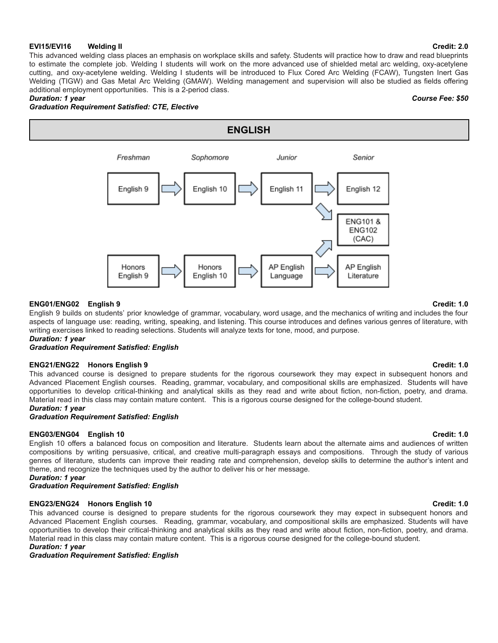### **EVI15/EVI16 Welding II Credit: 2.0**

This advanced welding class places an emphasis on workplace skills and safety. Students will practice how to draw and read blueprints to estimate the complete job. Welding I students will work on the more advanced use of shielded metal arc welding, oxy-acetylene cutting, and oxy-acetylene welding. Welding I students will be introduced to Flux Cored Arc Welding (FCAW), Tungsten Inert Gas Welding (TIGW) and Gas Metal Arc Welding (GMAW). Welding management and supervision will also be studied as fields offering additional employment opportunities. This is a 2-period class. *Duration: 1 year Course Fee: \$50*

# *Graduation Requirement Satisfied: CTE, Elective*



### **ENG01/ENG02 English 9 Credit: 1.0**

English 9 builds on students' prior knowledge of grammar, vocabulary, word usage, and the mechanics of writing and includes the four aspects of language use: reading, writing, speaking, and listening. This course introduces and defines various genres of literature, with writing exercises linked to reading selections. Students will analyze texts for tone, mood, and purpose.

# *Duration: 1 year*

# *Graduation Requirement Satisfied: English*

# **ENG21/ENG22 Honors English 9 Credit: 1.0**

This advanced course is designed to prepare students for the rigorous coursework they may expect in subsequent honors and Advanced Placement English courses. Reading, grammar, vocabulary, and compositional skills are emphasized. Students will have opportunities to develop critical-thinking and analytical skills as they read and write about fiction, non-fiction, poetry, and drama. Material read in this class may contain mature content. This is a rigorous course designed for the college-bound student.

### *Duration: 1 year*

### *Graduation Requirement Satisfied: English*

### **ENG03/ENG04 English 10 Credit: 1.0**

English 10 offers a balanced focus on composition and literature. Students learn about the alternate aims and audiences of written compositions by writing persuasive, critical, and creative multi-paragraph essays and compositions. Through the study of various genres of literature, students can improve their reading rate and comprehension, develop skills to determine the author's intent and theme, and recognize the techniques used by the author to deliver his or her message.

### *Duration: 1 year*

### *Graduation Requirement Satisfied: English*

### **ENG23/ENG24 Honors English 10 Credit: 1.0**

This advanced course is designed to prepare students for the rigorous coursework they may expect in subsequent honors and Advanced Placement English courses. Reading, grammar, vocabulary, and compositional skills are emphasized. Students will have opportunities to develop their critical-thinking and analytical skills as they read and write about fiction, non-fiction, poetry, and drama. Material read in this class may contain mature content. This is a rigorous course designed for the college-bound student.

### *Duration: 1 year*

*Graduation Requirement Satisfied: English*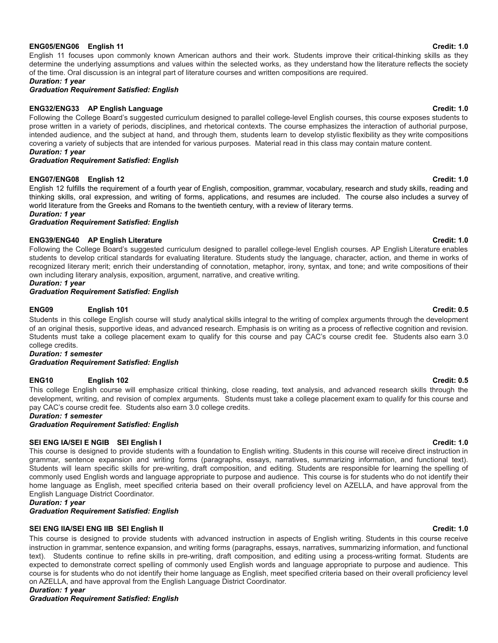### **ENG05/ENG06 English 11 Credit: 1.0**

English 11 focuses upon commonly known American authors and their work. Students improve their critical-thinking skills as they determine the underlying assumptions and values within the selected works, as they understand how the literature reflects the society of the time. Oral discussion is an integral part of literature courses and written compositions are required.

*Duration: 1 year*

*Graduation Requirement Satisfied: English*

### **ENG32/ENG33 AP English Language Credit: 1.0**

Following the College Board's suggested curriculum designed to parallel college-level English courses, this course exposes students to prose written in a variety of periods, disciplines, and rhetorical contexts. The course emphasizes the interaction of authorial purpose, intended audience, and the subject at hand, and through them, students learn to develop stylistic flexibility as they write compositions covering a variety of subjects that are intended for various purposes. Material read in this class may contain mature content. *Duration: 1 year*

### *Graduation Requirement Satisfied: English*

### **ENG07/ENG08 English 12 Credit: 1.0**

English 12 fulfills the requirement of a fourth year of English, composition, grammar, vocabulary, research and study skills, reading and thinking skills, oral expression, and writing of forms, applications, and resumes are included. The course also includes a survey of world literature from the Greeks and Romans to the twentieth century, with a review of literary terms.

*Duration: 1 year*

*Graduation Requirement Satisfied: English*

### **ENG39/ENG40 AP English Literature Credit: 1.0**

Following the College Board's suggested curriculum designed to parallel college-level English courses. AP English Literature enables students to develop critical standards for evaluating literature. Students study the language, character, action, and theme in works of recognized literary merit; enrich their understanding of connotation, metaphor, irony, syntax, and tone; and write compositions of their own including literary analysis, exposition, argument, narrative, and creative writing.

# *Duration: 1 year*

*Graduation Requirement Satisfied: English*

### **ENG09 English 101 Credit: 0.5**

Students in this college English course will study analytical skills integral to the writing of complex arguments through the development of an original thesis, supportive ideas, and advanced research. Emphasis is on writing as a process of reflective cognition and revision. Students must take a college placement exam to qualify for this course and pay CAC's course credit fee. Students also earn 3.0 college credits.

*Duration: 1 semester*

*Graduation Requirement Satisfied: English*

### **ENG10 English 102 Credit: 0.5**

This college English course will emphasize critical thinking, close reading, text analysis, and advanced research skills through the development, writing, and revision of complex arguments. Students must take a college placement exam to qualify for this course and pay CAC's course credit fee. Students also earn 3.0 college credits.

*Duration: 1 semester*

*Graduation Requirement Satisfied: English*

### **SEI ENG IA/SEI E NGIB SEI English I Credit: 1.0**

This course is designed to provide students with a foundation to English writing. Students in this course will receive direct instruction in grammar, sentence expansion and writing forms (paragraphs, essays, narratives, summarizing information, and functional text). Students will learn specific skills for pre-writing, draft composition, and editing. Students are responsible for learning the spelling of commonly used English words and language appropriate to purpose and audience. This course is for students who do not identify their home language as English, meet specified criteria based on their overall proficiency level on AZELLA, and have approval from the English Language District Coordinator.

*Duration: 1 year*

### *Graduation Requirement Satisfied: English*

### **SEI ENG IIA/SEI ENG IIB SEI English II Credit: 1.0**

This course is designed to provide students with advanced instruction in aspects of English writing. Students in this course receive instruction in grammar, sentence expansion, and writing forms (paragraphs, essays, narratives, summarizing information, and functional text). Students continue to refine skills in pre-writing, draft composition, and editing using a process-writing format. Students are expected to demonstrate correct spelling of commonly used English words and language appropriate to purpose and audience. This course is for students who do not identify their home language as English, meet specified criteria based on their overall proficiency level on AZELLA, and have approval from the English Language District Coordinator. *Duration: 1 year*

*Graduation Requirement Satisfied: English*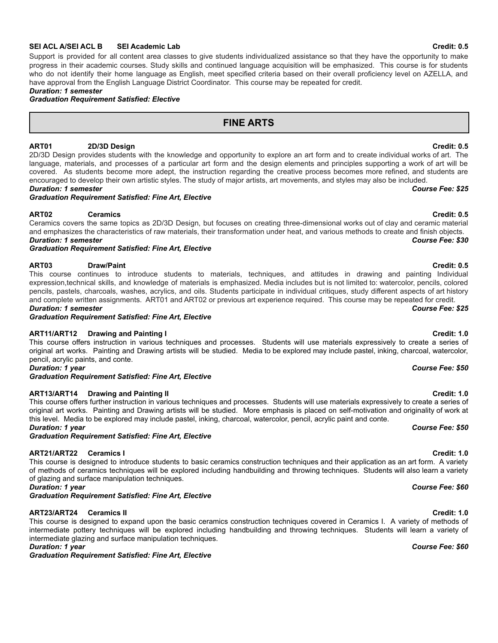### **SEI ACL A/SEI ACL B SEI Academic Lab Credit: 0.5**

Support is provided for all content area classes to give students individualized assistance so that they have the opportunity to make progress in their academic courses. Study skills and continued language acquisition will be emphasized. This course is for students who do not identify their home language as English, meet specified criteria based on their overall proficiency level on AZELLA, and have approval from the English Language District Coordinator. This course may be repeated for credit.

# *Duration: 1 semester*

*Graduation Requirement Satisfied: Elective*

# **FINE ARTS**

# **ART01 2D/3D Design Credit: 0.5**

2D/3D Design provides students with the knowledge and opportunity to explore an art form and to create individual works of art. The language, materials, and processes of a particular art form and the design elements and principles supporting a work of art will be covered. As students become more adept, the instruction regarding the creative process becomes more refined, and students are encouraged to develop their own artistic styles. The study of major artists, art movements, and styles may also be included. *Duration: 1 semester Course Fee: \$25*

### *Graduation Requirement Satisfied: Fine Art, Elective*

### **ART02 Ceramics Credit: 0.5**

Ceramics covers the same topics as 2D/3D Design, but focuses on creating three-dimensional works out of clay and ceramic material and emphasizes the characteristics of raw materials, their transformation under heat, and various methods to create and finish objects. *Duration: 1 semester Course Fee: \$30*

*Graduation Requirement Satisfied: Fine Art, Elective*

### **ART03 Draw/Paint Credit: 0.5**

This course continues to introduce students to materials, techniques, and attitudes in drawing and painting Individual expression,technical skills, and knowledge of materials is emphasized. Media includes but is not limited to: watercolor, pencils, colored pencils, pastels, charcoals, washes, acrylics, and oils. Students participate in individual critiques, study different aspects of art history and complete written assignments. ART01 and ART02 or previous art experience required. This course may be repeated for credit. *Duration: 1 semester Course Fee: \$25*

*Graduation Requirement Satisfied: Fine Art, Elective*

### **ART11/ART12 Drawing and Painting I Credit: 1.0**

This course offers instruction in various techniques and processes. Students will use materials expressively to create a series of original art works. Painting and Drawing artists will be studied. Media to be explored may include pastel, inking, charcoal, watercolor, pencil, acrylic paints, and conte. *Duration: 1 year Course Fee: \$50*

*Graduation Requirement Satisfied: Fine Art, Elective*

### **ART13/ART14 Drawing and Painting II Credit: 1.0**

This course offers further instruction in various techniques and processes. Students will use materials expressively to create a series of original art works. Painting and Drawing artists will be studied. More emphasis is placed on self-motivation and originality of work at this level. Media to be explored may include pastel, inking, charcoal, watercolor, pencil, acrylic paint and conte. *Duration: 1 year Course Fee: \$50*

*Graduation Requirement Satisfied: Fine Art, Elective*

### **ART21/ART22 Ceramics I Credit: 1.0**

This course is designed to introduce students to basic ceramics construction techniques and their application as an art form. A variety of methods of ceramics techniques will be explored including handbuilding and throwing techniques. Students will also learn a variety of glazing and surface manipulation techniques. *Duration: 1 year Course Fee: \$60*

*Graduation Requirement Satisfied: Fine Art, Elective*

## **ART23/ART24 Ceramics II Credit: 1.0**

This course is designed to expand upon the basic ceramics construction techniques covered in Ceramics I. A variety of methods of intermediate pottery techniques will be explored including handbuilding and throwing techniques. Students will learn a variety of intermediate glazing and surface manipulation techniques. *Duration: 1 year Course Fee: \$60*

*Graduation Requirement Satisfied: Fine Art, Elective*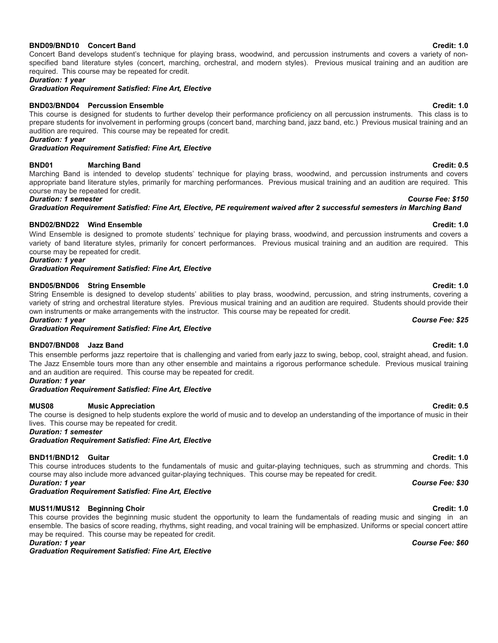# **BND09/BND10 Concert Band Credit: 1.0**

Concert Band develops student's technique for playing brass, woodwind, and percussion instruments and covers a variety of nonspecified band literature styles (concert, marching, orchestral, and modern styles). Previous musical training and an audition are required. This course may be repeated for credit.

*Duration: 1 year*

*Graduation Requirement Satisfied: Fine Art, Elective*

# **BND03/BND04 Percussion Ensemble Credit: 1.0**

This course is designed for students to further develop their performance proficiency on all percussion instruments. This class is to prepare students for involvement in performing groups (concert band, marching band, jazz band, etc.) Previous musical training and an audition are required. This course may be repeated for credit.

*Duration: 1 year*

*Graduation Requirement Satisfied: Fine Art, Elective*

# **BND01 Marching Band Credit: 0.5**

Marching Band is intended to develop students' technique for playing brass, woodwind, and percussion instruments and covers appropriate band literature styles, primarily for marching performances. Previous musical training and an audition are required. This course may be repeated for credit.

# *Duration: 1 semester Course Fee: \$150*

*Graduation Requirement Satisfied: Fine Art, Elective, PE requirement waived after 2 successful semesters in Marching Band*

# **BND02/BND22 Wind Ensemble Credit: 1.0**

Wind Ensemble is designed to promote students' technique for playing brass, woodwind, and percussion instruments and covers a variety of band literature styles, primarily for concert performances. Previous musical training and an audition are required. This course may be repeated for credit.

# *Duration: 1 year*

*Graduation Requirement Satisfied: Fine Art, Elective*

# **BND05/BND06 String Ensemble Credit: 1.0**

String Ensemble is designed to develop students' abilities to play brass, woodwind, percussion, and string instruments, covering a variety of string and orchestral literature styles. Previous musical training and an audition are required. Students should provide their own instruments or make arrangements with the instructor. This course may be repeated for credit.

### *Duration: 1 year Course Fee: \$25*

*Graduation Requirement Satisfied: Fine Art, Elective*

# **BND07/BND08 Jazz Band Credit: 1.0**

This ensemble performs jazz repertoire that is challenging and varied from early jazz to swing, bebop, cool, straight ahead, and fusion. The Jazz Ensemble tours more than any other ensemble and maintains a rigorous performance schedule. Previous musical training and an audition are required. This course may be repeated for credit.

### *Duration: 1 year*

### *Graduation Requirement Satisfied: Fine Art, Elective*

# **MUS08 Music Appreciation Credit: 0.5**

The course is designed to help students explore the world of music and to develop an understanding of the importance of music in their lives. This course may be repeated for credit.

*Duration: 1 semester*

*Graduation Requirement Satisfied: Fine Art, Elective*

# **BND11/BND12 Guitar Credit: 1.0**

This course introduces students to the fundamentals of music and guitar-playing techniques, such as strumming and chords. This course may also include more advanced guitar-playing techniques. This course may be repeated for credit. *Duration: 1 year Course Fee: \$30*

### *Graduation Requirement Satisfied: Fine Art, Elective*

# **MUS11/MUS12 Beginning Choir Credit: 1.0**

This course provides the beginning music student the opportunity to learn the fundamentals of reading music and singing in an ensemble. The basics of score reading, rhythms, sight reading, and vocal training will be emphasized. Uniforms or special concert attire may be required. This course may be repeated for credit.

*Duration: 1 year Course Fee: \$60*

*Graduation Requirement Satisfied: Fine Art, Elective*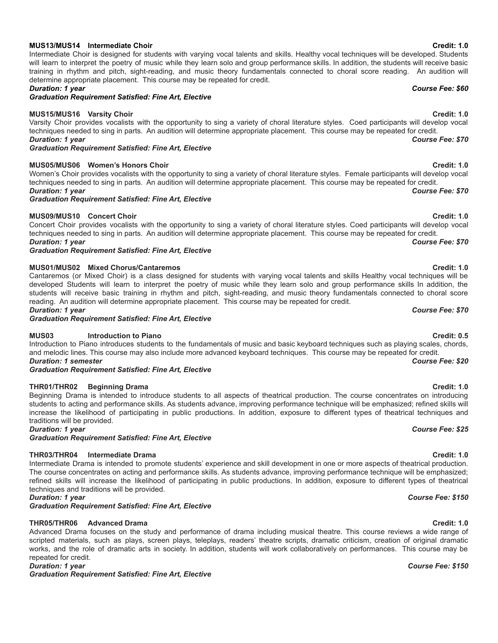# **MUS13/MUS14 Intermediate Choir Credit: 1.0**

### will learn to interpret the poetry of music while they learn solo and group performance skills. In addition, the students will receive basic training in rhythm and pitch, sight-reading, and music theory fundamentals connected to choral score reading. An audition will determine appropriate placement. This course may be repeated for credit.

### *Duration: 1 year Course Fee: \$60*

*Graduation Requirement Satisfied: Fine Art, Elective*

### **MUS15/MUS16 Varsity Choir Credit: 1.0**

Varsity Choir provides vocalists with the opportunity to sing a variety of choral literature styles. Coed participants will develop vocal techniques needed to sing in parts. An audition will determine appropriate placement. This course may be repeated for credit. *Duration: 1 year Course Fee: \$70*

*Graduation Requirement Satisfied: Fine Art, Elective*

# **MUS05/MUS06 Women's Honors Choir Credit: 1.0**

Women's Choir provides vocalists with the opportunity to sing a variety of choral literature styles. Female participants will develop vocal techniques needed to sing in parts. An audition will determine appropriate placement. This course may be repeated for credit. *Duration: 1 year Course Fee: \$70*

Intermediate Choir is designed for students with varying vocal talents and skills. Healthy vocal techniques will be developed. Students

### *Graduation Requirement Satisfied: Fine Art, Elective*

### **MUS09/MUS10 Concert Choir Credit: 1.0**

Concert Choir provides vocalists with the opportunity to sing a variety of choral literature styles. Coed participants will develop vocal techniques needed to sing in parts. An audition will determine appropriate placement. This course may be repeated for credit. *Duration: 1 year Course Fee: \$70*

*Graduation Requirement Satisfied: Fine Art, Elective*

### **MUS01/MUS02 Mixed Chorus/Cantaremos Credit: 1.0**

Cantaremos (or Mixed Choir) is a class designed for students with varying vocal talents and skills Healthy vocal techniques will be developed Students will learn to interpret the poetry of music while they learn solo and group performance skills In addition, the students will receive basic training in rhythm and pitch, sight-reading, and music theory fundamentals connected to choral score reading. An audition will determine appropriate placement. This course may be repeated for credit. *Duration: 1 year Course Fee: \$70*

*Graduation Requirement Satisfied: Fine Art, Elective*

### **MUS03 Introduction to Piano Credit: 0.5**

Introduction to Piano introduces students to the fundamentals of music and basic keyboard techniques such as playing scales, chords, and melodic lines. This course may also include more advanced keyboard techniques. This course may be repeated for credit. *Duration: 1 semester Course Fee: \$20*

*Graduation Requirement Satisfied: Fine Art, Elective*

### **THR01/THR02 Beginning Drama Credit: 1.0**

Beginning Drama is intended to introduce students to all aspects of theatrical production. The course concentrates on introducing students to acting and performance skills. As students advance, improving performance technique will be emphasized; refined skills will increase the likelihood of participating in public productions. In addition, exposure to different types of theatrical techniques and traditions will be provided. *Duration: 1 year Course Fee: \$25*

*Graduation Requirement Satisfied: Fine Art, Elective*

### **THR03/THR04 Intermediate Drama Credit: 1.0**

Intermediate Drama is intended to promote students' experience and skill development in one or more aspects of theatrical production. The course concentrates on acting and performance skills. As students advance, improving performance technique will be emphasized; refined skills will increase the likelihood of participating in public productions. In addition, exposure to different types of theatrical techniques and traditions will be provided.

*Graduation Requirement Satisfied: Fine Art, Elective*

### **THR05/THR06 Advanced Drama Credit: 1.0**

Advanced Drama focuses on the study and performance of drama including musical theatre. This course reviews a wide range of scripted materials, such as plays, screen plays, teleplays, readers' theatre scripts, dramatic criticism, creation of original dramatic works, and the role of dramatic arts in society. In addition, students will work collaboratively on performances. This course may be repeated for credit.

*Graduation Requirement Satisfied: Fine Art, Elective*

### *Duration: 1 year Course Fee: \$150*

# *Duration: 1 year Course Fee: \$150*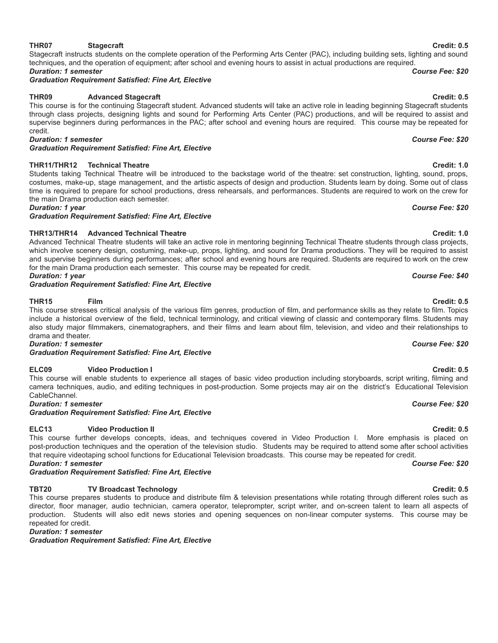camera techniques, audio, and editing techniques in post-production. Some projects may air on the district's Educational Television CableChannel. *Duration: 1 semester Course Fee: \$20*

*Graduation Requirement Satisfied: Fine Art, Elective*

# **ELC13 Video Production II Credit: 0.5**

This course further develops concepts, ideas, and techniques covered in Video Production I. More emphasis is placed on post-production techniques and the operation of the television studio. Students may be required to attend some after school activities that require videotaping school functions for Educational Television broadcasts. This course may be repeated for credit. *Duration: 1 semester Course Fee: \$20*

*Graduation Requirement Satisfied: Fine Art, Elective*

# **TBT20 TV Broadcast Technology Credit: 0.5**

This course prepares students to produce and distribute film & television presentations while rotating through different roles such as director, floor manager, audio technician, camera operator, teleprompter, script writer, and on-screen talent to learn all aspects of production. Students will also edit news stories and opening sequences on non-linear computer systems. This course may be repeated for credit.

*Duration: 1 semester*

*Graduation Requirement Satisfied: Fine Art, Elective*

### **THR07 Stagecraft Credit: 0.5** Stagecraft instructs students on the complete operation of the Performing Arts Center (PAC), including building sets, lighting and sound

# *Duration: 1 semester Course Fee: \$20 Graduation Requirement Satisfied: Fine Art, Elective*

# **THR09 Advanced Stagecraft Credit: 0.5**

### This course is for the continuing Stagecraft student. Advanced students will take an active role in leading beginning Stagecraft students through class projects, designing lights and sound for Performing Arts Center (PAC) productions, and will be required to assist and supervise beginners during performances in the PAC; after school and evening hours are required. This course may be repeated for credit. *Duration: 1 semester Course Fee: \$20*

techniques, and the operation of equipment; after school and evening hours to assist in actual productions are required.

*Graduation Requirement Satisfied: Fine Art, Elective*

# **THR11/THR12 Technical Theatre Credit: 1.0**

Students taking Technical Theatre will be introduced to the backstage world of the theatre: set construction, lighting, sound, props, costumes, make-up, stage management, and the artistic aspects of design and production. Students learn by doing. Some out of class time is required to prepare for school productions, dress rehearsals, and performances. Students are required to work on the crew for the main Drama production each semester. *Duration: 1 year Course Fee: \$20*

*Graduation Requirement Satisfied: Fine Art, Elective*

# **THR13/THR14 Advanced Technical Theatre Credit: 1.0**

Advanced Technical Theatre students will take an active role in mentoring beginning Technical Theatre students through class projects, which involve scenery design, costuming, make-up, props, lighting, and sound for Drama productions. They will be required to assist and supervise beginners during performances; after school and evening hours are required. Students are required to work on the crew for the main Drama production each semester. This course may be repeated for credit. *Duration: 1 year Course Fee: \$40*

# *Graduation Requirement Satisfied: Fine Art, Elective*

### **THR15 Film Credit: 0.5** This course stresses critical analysis of the various film genres, production of film, and performance skills as they relate to film. Topics

include a historical overview of the field, technical terminology, and critical viewing of classic and contemporary films. Students may also study major filmmakers, cinematographers, and their films and learn about film, television, and video and their relationships to drama and theater. *Duration: 1 semester Course Fee: \$20*

# *Graduation Requirement Satisfied: Fine Art, Elective*

# **ELC09 Video Production I Credit: 0.5**

This course will enable students to experience all stages of basic video production including storyboards, script writing, filming and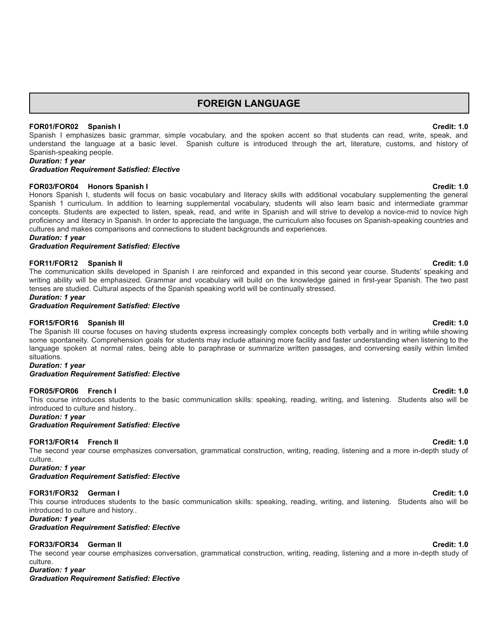# **FOREIGN LANGUAGE**

### **FOR01/FOR02 Spanish I Credit: 1.0**

Spanish I emphasizes basic grammar, simple vocabulary, and the spoken accent so that students can read, write, speak, and understand the language at a basic level. Spanish culture is introduced through the art, literature, customs, and history of Spanish-speaking people.

*Duration: 1 year*

### *Graduation Requirement Satisfied: Elective*

### **FOR03/FOR04 Honors Spanish I Credit: 1.0**

Honors Spanish I, students will focus on basic vocabulary and literacy skills with additional vocabulary supplementing the general Spanish 1 curriculum. In addition to learning supplemental vocabulary, students will also learn basic and intermediate grammar concepts. Students are expected to listen, speak, read, and write in Spanish and will strive to develop a novice-mid to novice high proficiency and literacy in Spanish. In order to appreciate the language, the curriculum also focuses on Spanish-speaking countries and cultures and makes comparisons and connections to student backgrounds and experiences.

### *Duration: 1 year*

*Graduation Requirement Satisfied: Elective*

### **FOR11/FOR12 Spanish II Credit: 1.0**

The communication skills developed in Spanish I are reinforced and expanded in this second year course. Students' speaking and writing ability will be emphasized. Grammar and vocabulary will build on the knowledge gained in first-year Spanish. The two past tenses are studied. Cultural aspects of the Spanish speaking world will be continually stressed.

### *Duration: 1 year Graduation Requirement Satisfied: Elective*

### **FOR15/FOR16 Spanish III Credit: 1.0**

The Spanish III course focuses on having students express increasingly complex concepts both verbally and in writing while showing some spontaneity. Comprehension goals for students may include attaining more facility and faster understanding when listening to the language spoken at normal rates, being able to paraphrase or summarize written passages, and conversing easily within limited situations.

# *Duration: 1 year*

### *Graduation Requirement Satisfied: Elective*

### **FOR05/FOR06 French I Credit: 1.0**

This course introduces students to the basic communication skills: speaking, reading, writing, and listening. Students also will be introduced to culture and history..

*Duration: 1 year*

*Graduation Requirement Satisfied: Elective*

### **FOR13/FOR14 French II Credit: 1.0**

The second year course emphasizes conversation, grammatical construction, writing, reading, listening and a more in-depth study of culture.

*Duration: 1 year*

*Graduation Requirement Satisfied: Elective*

### **FOR31/FOR32 German I Credit: 1.0**

This course introduces students to the basic communication skills: speaking, reading, writing, and listening. Students also will be introduced to culture and history..

*Duration: 1 year*

### *Graduation Requirement Satisfied: Elective*

### **FOR33/FOR34 German II Credit: 1.0**

The second year course emphasizes conversation, grammatical construction, writing, reading, listening and a more in-depth study of culture.

*Duration: 1 year*

*Graduation Requirement Satisfied: Elective*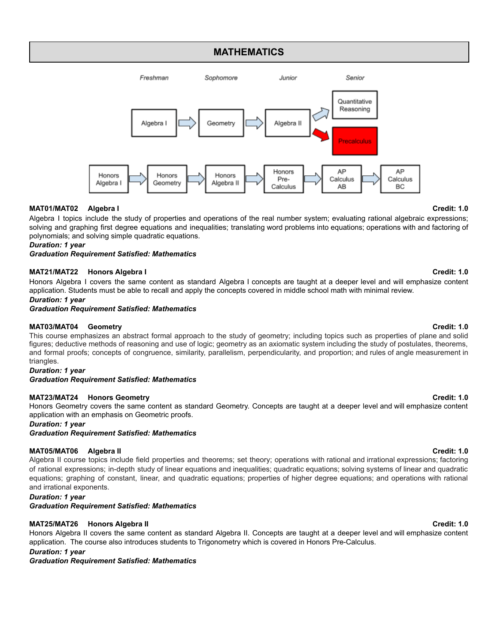# **MATHEMATICS**



# **MAT01/MAT02 Algebra I Credit: 1.0**

Algebra I topics include the study of properties and operations of the real number system; evaluating rational algebraic expressions; solving and graphing first degree equations and inequalities; translating word problems into equations; operations with and factoring of polynomials; and solving simple quadratic equations.

### *Duration: 1 year*

*Graduation Requirement Satisfied: Mathematics*

### **MAT21/MAT22 Honors Algebra I Credit: 1.0**

Honors Algebra I covers the same content as standard Algebra I concepts are taught at a deeper level and will emphasize content application. Students must be able to recall and apply the concepts covered in middle school math with minimal review.

### *Duration: 1 year*

*Graduation Requirement Satisfied: Mathematics*

### **MAT03/MAT04 Geometry Credit: 1.0**

This course emphasizes an abstract formal approach to the study of geometry; including topics such as properties of plane and solid figures; deductive methods of reasoning and use of logic; geometry as an axiomatic system including the study of postulates, theorems, and formal proofs; concepts of congruence, similarity, parallelism, perpendicularity, and proportion; and rules of angle measurement in triangles.

### *Duration: 1 year*

*Graduation Requirement Satisfied: Mathematics*

# **MAT23/MAT24 Honors Geometry Credit: 1.0**

Honors Geometry covers the same content as standard Geometry. Concepts are taught at a deeper level and will emphasize content application with an emphasis on Geometric proofs.

### *Duration: 1 year*

*Graduation Requirement Satisfied: Mathematics*

# **MAT05/MAT06 Algebra II Credit: 1.0**

Algebra II course topics include field properties and theorems; set theory; operations with rational and irrational expressions; factoring of rational expressions; in-depth study of linear equations and inequalities; quadratic equations; solving systems of linear and quadratic equations; graphing of constant, linear, and quadratic equations; properties of higher degree equations; and operations with rational and irrational exponents.

# *Duration: 1 year*

*Graduation Requirement Satisfied: Mathematics*

### **MAT25/MAT26 Honors Algebra II Credit: 1.0**

Honors Algebra II covers the same content as standard Algebra II. Concepts are taught at a deeper level and will emphasize content application. The course also introduces students to Trigonometry which is covered in Honors Pre-Calculus.

*Duration: 1 year*

*Graduation Requirement Satisfied: Mathematics*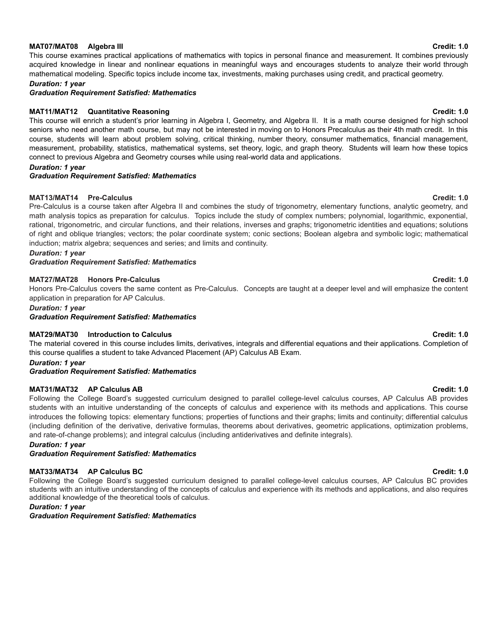### **MAT07/MAT08 Algebra III Credit: 1.0**

This course examines practical applications of mathematics with topics in personal finance and measurement. It combines previously acquired knowledge in linear and nonlinear equations in meaningful ways and encourages students to analyze their world through mathematical modeling. Specific topics include income tax, investments, making purchases using credit, and practical geometry.

*Duration: 1 year*

*Graduation Requirement Satisfied: Mathematics*

### **MAT11/MAT12 Quantitative Reasoning Credit: 1.0**

This course will enrich a student's prior learning in Algebra I, Geometry, and Algebra II. It is a math course designed for high school seniors who need another math course, but may not be interested in moving on to Honors Precalculus as their 4th math credit. In this course, students will learn about problem solving, critical thinking, number theory, consumer mathematics, financial management, measurement, probability, statistics, mathematical systems, set theory, logic, and graph theory. Students will learn how these topics connect to previous Algebra and Geometry courses while using real-world data and applications.

### *Duration: 1 year*

### *Graduation Requirement Satisfied: Mathematics*

### **MAT13/MAT14 Pre-Calculus Credit: 1.0**

Pre-Calculus is a course taken after Algebra II and combines the study of trigonometry, elementary functions, analytic geometry, and math analysis topics as preparation for calculus. Topics include the study of complex numbers; polynomial, logarithmic, exponential, rational, trigonometric, and circular functions, and their relations, inverses and graphs; trigonometric identities and equations; solutions of right and oblique triangles; vectors; the polar coordinate system; conic sections; Boolean algebra and symbolic logic; mathematical induction; matrix algebra; sequences and series; and limits and continuity.

*Duration: 1 year*

*Graduation Requirement Satisfied: Mathematics*

### **MAT27/MAT28 Honors Pre-Calculus Credit: 1.0**

Honors Pre-Calculus covers the same content as Pre-Calculus. Concepts are taught at a deeper level and will emphasize the content application in preparation for AP Calculus.

*Duration: 1 year*

*Graduation Requirement Satisfied: Mathematics*

### **MAT29/MAT30 Introduction to Calculus Credit: 1.0**

The material covered in this course includes limits, derivatives, integrals and differential equations and their applications. Completion of this course qualifies a student to take Advanced Placement (AP) Calculus AB Exam.

*Duration: 1 year*

*Graduation Requirement Satisfied: Mathematics*

### **MAT31/MAT32 AP Calculus AB Credit: 1.0**

Following the College Board's suggested curriculum designed to parallel college-level calculus courses, AP Calculus AB provides students with an intuitive understanding of the concepts of calculus and experience with its methods and applications. This course introduces the following topics: elementary functions; properties of functions and their graphs; limits and continuity; differential calculus (including definition of the derivative, derivative formulas, theorems about derivatives, geometric applications, optimization problems, and rate-of-change problems); and integral calculus (including antiderivatives and definite integrals).

*Duration: 1 year*

*Graduation Requirement Satisfied: Mathematics*

### **MAT33/MAT34 AP Calculus BC Credit: 1.0**

Following the College Board's suggested curriculum designed to parallel college-level calculus courses, AP Calculus BC provides students with an intuitive understanding of the concepts of calculus and experience with its methods and applications, and also requires additional knowledge of the theoretical tools of calculus.

*Duration: 1 year*

*Graduation Requirement Satisfied: Mathematics*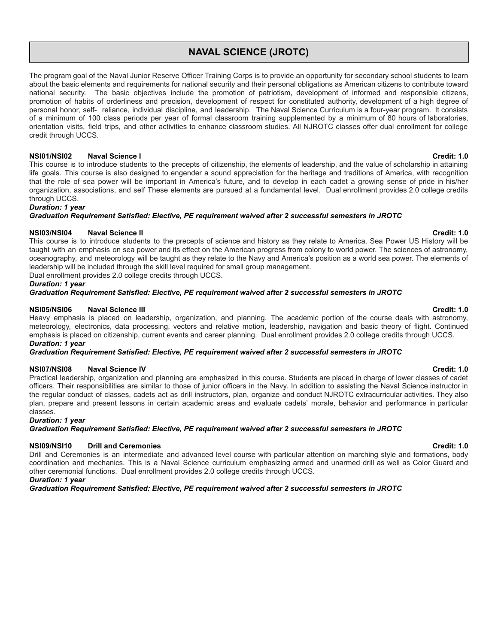# **NAVAL SCIENCE (JROTC)**

The program goal of the Naval Junior Reserve Officer Training Corps is to provide an opportunity for secondary school students to learn about the basic elements and requirements for national security and their personal obligations as American citizens to contribute toward national security. The basic objectives include the promotion of patriotism, development of informed and responsible citizens, promotion of habits of orderliness and precision, development of respect for constituted authority, development of a high degree of personal honor, self- reliance, individual discipline, and leadership. The Naval Science Curriculum is a four-year program. It consists of a minimum of 100 class periods per year of formal classroom training supplemented by a minimum of 80 hours of laboratories, orientation visits, field trips, and other activities to enhance classroom studies. All NJROTC classes offer dual enrollment for college credit through UCCS.

### **NSI01/NSI02 Naval Science I Credit: 1.0**

This course is to introduce students to the precepts of citizenship, the elements of leadership, and the value of scholarship in attaining life goals. This course is also designed to engender a sound appreciation for the heritage and traditions of America, with recognition that the role of sea power will be important in America's future, and to develop in each cadet a growing sense of pride in his/her organization, associations, and self These elements are pursued at a fundamental level. Dual enrollment provides 2.0 college credits through UCCS.

# *Duration: 1 year*

*Graduation Requirement Satisfied: Elective, PE requirement waived after 2 successful semesters in JROTC*

# **NSI03/NSI04 Naval Science II Credit: 1.0**

This course is to introduce students to the precepts of science and history as they relate to America. Sea Power US History will be taught with an emphasis on sea power and its effect on the American progress from colony to world power. The sciences of astronomy, oceanography, and meteorology will be taught as they relate to the Navy and America's position as a world sea power. The elements of leadership will be included through the skill level required for small group management.

Dual enrollment provides 2.0 college credits through UCCS.

# *Duration: 1 year*

*Graduation Requirement Satisfied: Elective, PE requirement waived after 2 successful semesters in JROTC*

### **NSI05/NSI06 Naval Science III Credit: 1.0**

Heavy emphasis is placed on leadership, organization, and planning. The academic portion of the course deals with astronomy, meteorology, electronics, data processing, vectors and relative motion, leadership, navigation and basic theory of flight. Continued emphasis is placed on citizenship, current events and career planning. Dual enrollment provides 2.0 college credits through UCCS. *Duration: 1 year*

## *Graduation Requirement Satisfied: Elective, PE requirement waived after 2 successful semesters in JROTC*

### **NSI07/NSI08 Naval Science IV Credit: 1.0**

Practical leadership, organization and planning are emphasized in this course. Students are placed in charge of lower classes of cadet officers. Their responsibilities are similar to those of junior officers in the Navy. In addition to assisting the Naval Science instructor in the regular conduct of classes, cadets act as drill instructors, plan, organize and conduct NJROTC extracurricular activities. They also plan, prepare and present lessons in certain academic areas and evaluate cadets' morale, behavior and performance in particular classes.

### *Duration: 1 year*

*Graduation Requirement Satisfied: Elective, PE requirement waived after 2 successful semesters in JROTC*

### **NSI09/NSI10 Drill and Ceremonies Credit: 1.0**

Drill and Ceremonies is an intermediate and advanced level course with particular attention on marching style and formations, body coordination and mechanics. This is a Naval Science curriculum emphasizing armed and unarmed drill as well as Color Guard and other ceremonial functions. Dual enrollment provides 2.0 college credits through UCCS.

### *Duration: 1 year*

*Graduation Requirement Satisfied: Elective, PE requirement waived after 2 successful semesters in JROTC*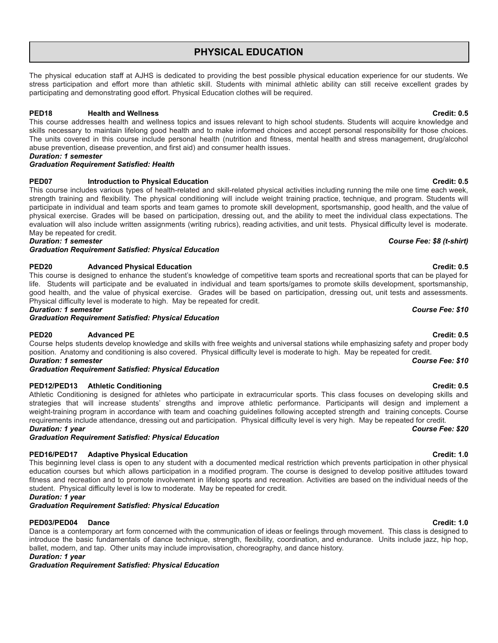# **PHYSICAL EDUCATION**

The physical education staff at AJHS is dedicated to providing the best possible physical education experience for our students. We stress participation and effort more than athletic skill. Students with minimal athletic ability can still receive excellent grades by participating and demonstrating good effort. Physical Education clothes will be required.

# **PED18 Health and Wellness Credit: 0.5**

This course addresses health and wellness topics and issues relevant to high school students. Students will acquire knowledge and skills necessary to maintain lifelong good health and to make informed choices and accept personal responsibility for those choices. The units covered in this course include personal health (nutrition and fitness, mental health and stress management, drug/alcohol abuse prevention, disease prevention, and first aid) and consumer health issues.

### *Duration: 1 semester*

# *Graduation Requirement Satisfied: Health*

# **PED07 Introduction to Physical Education Credit: 0.5**

This course includes various types of health-related and skill-related physical activities including running the mile one time each week, strength training and flexibility. The physical conditioning will include weight training practice, technique, and program. Students will participate in individual and team sports and team games to promote skill development, sportsmanship, good health, and the value of physical exercise. Grades will be based on participation, dressing out, and the ability to meet the individual class expectations. The evaluation will also include written assignments (writing rubrics), reading activities, and unit tests. Physical difficulty level is moderate. May be repeated for credit.

*Graduation Requirement Satisfied: Physical Education*

# **PED20 Advanced Physical Education Credit: 0.5**

This course is designed to enhance the student's knowledge of competitive team sports and recreational sports that can be played for life. Students will participate and be evaluated in individual and team sports/games to promote skills development, sportsmanship, good health, and the value of physical exercise. Grades will be based on participation, dressing out, unit tests and assessments. Physical difficulty level is moderate to high. May be repeated for credit.

*Duration: 1 semester Course Fee: \$10*

*Graduation Requirement Satisfied: Physical Education*

# **PED20 Advanced PE Credit: 0.5**

Course helps students develop knowledge and skills with free weights and universal stations while emphasizing safety and proper body position. Anatomy and conditioning is also covered. Physical difficulty level is moderate to high. May be repeated for credit. *Duration: 1 semester Course Fee: \$10*

*Graduation Requirement Satisfied: Physical Education*

### **PED12/PED13 Athletic Conditioning Credit: 0.5**

Athletic Conditioning is designed for athletes who participate in extracurricular sports. This class focuses on developing skills and strategies that will increase students' strengths and improve athletic performance. Participants will design and implement a weight-training program in accordance with team and coaching guidelines following accepted strength and training concepts. Course requirements include attendance, dressing out and participation. Physical difficulty level is very high. May be repeated for credit. *Duration: 1 year Course Fee: \$20*

*Graduation Requirement Satisfied: Physical Education*

# **PED16/PED17 Adaptive Physical Education Credit: 1.0**

This beginning level class is open to any student with a documented medical restriction which prevents participation in other physical education courses but which allows participation in a modified program. The course is designed to develop positive attitudes toward fitness and recreation and to promote involvement in lifelong sports and recreation. Activities are based on the individual needs of the student. Physical difficulty level is low to moderate. May be repeated for credit.

*Duration: 1 year*

*Graduation Requirement Satisfied: Physical Education*

# **PED03/PED04 Dance Credit: 1.0**

Dance is a contemporary art form concerned with the communication of ideas or feelings through movement. This class is designed to introduce the basic fundamentals of dance technique, strength, flexibility, coordination, and endurance. Units include jazz, hip hop, ballet, modern, and tap. Other units may include improvisation, choreography, and dance history.

*Duration: 1 year*

*Graduation Requirement Satisfied: Physical Education*

# *Duration: 1 semester Course Fee: \$8 (t-shirt)*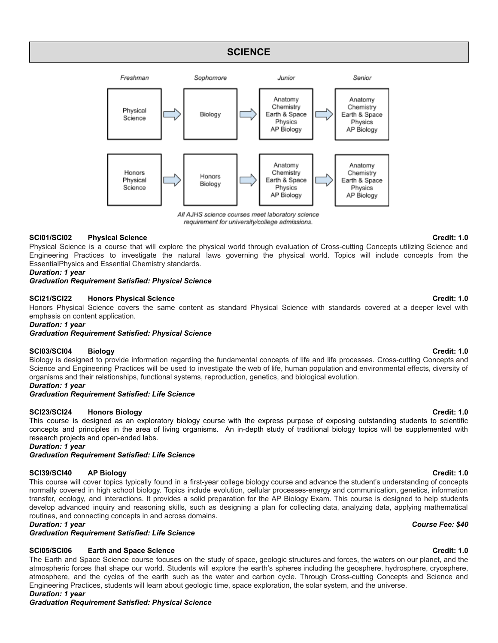# **SCIENCE**



All AJHS science courses meet laboratory science requirement for university/college admissions.

### **SCI01/SCI02 Physical Science Credit: 1.0**

Physical Science is a course that will explore the physical world through evaluation of Cross-cutting Concepts utilizing Science and Engineering Practices to investigate the natural laws governing the physical world. Topics will include concepts from the EssentialPhysics and Essential Chemistry standards.

### *Duration: 1 year*

### *Graduation Requirement Satisfied: Physical Science*

### **SCI21/SCI22 Honors Physical Science Credit: 1.0**

Honors Physical Science covers the same content as standard Physical Science with standards covered at a deeper level with emphasis on content application.

*Duration: 1 year*

*Graduation Requirement Satisfied: Physical Science*

### **SCI03/SCI04 Biology Credit: 1.0**

Biology is designed to provide information regarding the fundamental concepts of life and life processes. Cross-cutting Concepts and Science and Engineering Practices will be used to investigate the web of life, human population and environmental effects, diversity of organisms and their relationships, functional systems, reproduction, genetics, and biological evolution.

### *Duration: 1 year*

# *Graduation Requirement Satisfied: Life Science*

### **SCI23/SCI24 Honors Biology Credit: 1.0**

This course is designed as an exploratory biology course with the express purpose of exposing outstanding students to scientific concepts and principles in the area of living organisms. An in-depth study of traditional biology topics will be supplemented with research projects and open-ended labs.

*Duration: 1 year*

*Graduation Requirement Satisfied: Life Science*

### **SCI39/SCI40 AP Biology Credit: 1.0**

This course will cover topics typically found in a first-year college biology course and advance the student's understanding of concepts normally covered in high school biology. Topics include evolution, cellular processes-energy and communication, genetics, information transfer, ecology, and interactions. It provides a solid preparation for the AP Biology Exam. This course is designed to help students develop advanced inquiry and reasoning skills, such as designing a plan for collecting data, analyzing data, applying mathematical routines, and connecting concepts in and across domains.

### *Duration: 1 year Course Fee: \$40*

*Graduation Requirement Satisfied: Life Science*

### **SCI05/SCI06 Earth and Space Science Credit: 1.0**

The Earth and Space Science course focuses on the study of space, geologic structures and forces, the waters on our planet, and the atmospheric forces that shape our world. Students will explore the earth's spheres including the geosphere, hydrosphere, cryosphere, atmosphere, and the cycles of the earth such as the water and carbon cycle. Through Cross-cutting Concepts and Science and Engineering Practices, students will learn about geologic time, space exploration, the solar system, and the universe. *Duration: 1 year*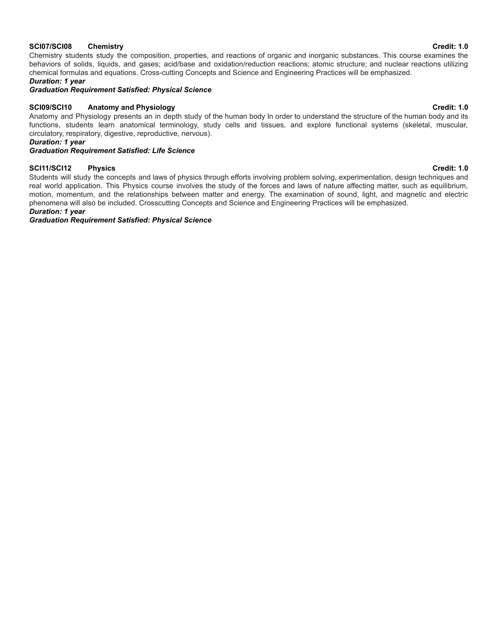### **SCI07/SCI08 Chemistry Credit: 1.0**

Chemistry students study the composition, properties, and reactions of organic and inorganic substances. This course examines the behaviors of solids, liquids, and gases; acid/base and oxidation/reduction reactions; atomic structure; and nuclear reactions utilizing chemical formulas and equations. Cross-cutting Concepts and Science and Engineering Practices will be emphasized.

*Duration: 1 year*

*Graduation Requirement Satisfied: Physical Science*

# **SCI09/SCI10 Anatomy and Physiology Credit: 1.0**

Anatomy and Physiology presents an in depth study of the human body In order to understand the structure of the human body and its functions, students learn anatomical terminology, study cells and tissues, and explore functional systems (skeletal, muscular, circulatory, respiratory, digestive, reproductive, nervous).

*Duration: 1 year*

# *Graduation Requirement Satisfied: Life Science*

### **SCI11/SCI12 Physics Credit: 1.0**

Students will study the concepts and laws of physics through efforts involving problem solving, experimentation, design techniques and real world application. This Physics course involves the study of the forces and laws of nature affecting matter, such as equilibrium, motion, momentum, and the relationships between matter and energy. The examination of sound, light, and magnetic and electric phenomena will also be included. Crosscutting Concepts and Science and Engineering Practices will be emphasized.

### *Duration: 1 year*

*Graduation Requirement Satisfied: Physical Science*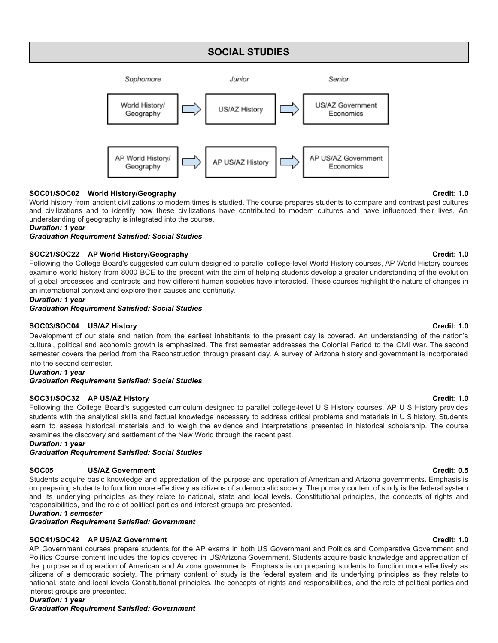# **SOCIAL STUDIES**



# **SOC01/SOC02 World History/Geography Credit: 1.0**

World history from ancient civilizations to modern times is studied. The course prepares students to compare and contrast past cultures and civilizations and to identify how these civilizations have contributed to modern cultures and have influenced their lives. An understanding of geography is integrated into the course.

*Duration: 1 year*

*Graduation Requirement Satisfied: Social Studies*

# **SOC21/SOC22 AP World History/Geography Credit: 1.0**

Following the College Board's suggested curriculum designed to parallel college-level World History courses, AP World History courses examine world history from 8000 BCE to the present with the aim of helping students develop a greater understanding of the evolution of global processes and contracts and how different human societies have interacted. These courses highlight the nature of changes in an international context and explore their causes and continuity.

### *Duration: 1 year*

*Graduation Requirement Satisfied: Social Studies*

### **SOC03/SOC04 US/AZ History Credit: 1.0**

Development of our state and nation from the earliest inhabitants to the present day is covered. An understanding of the nation's cultural, political and economic growth is emphasized. The first semester addresses the Colonial Period to the Civil War. The second semester covers the period from the Reconstruction through present day. A survey of Arizona history and government is incorporated into the second semester.

### *Duration: 1 year*

### *Graduation Requirement Satisfied: Social Studies*

### **SOC31/SOC32 AP US/AZ History Credit: 1.0**

Following the College Board's suggested curriculum designed to parallel college-level U S History courses, AP U S History provides students with the analytical skills and factual knowledge necessary to address critical problems and materials in U S history. Students learn to assess historical materials and to weigh the evidence and interpretations presented in historical scholarship. The course examines the discovery and settlement of the New World through the recent past.

*Duration: 1 year*

*Graduation Requirement Satisfied: Social Studies*

### **SOC05 US/AZ Government Credit: 0.5**

Students acquire basic knowledge and appreciation of the purpose and operation of American and Arizona governments. Emphasis is on preparing students to function more effectively as citizens of a democratic society. The primary content of study is the federal system and its underlying principles as they relate to national, state and local levels. Constitutional principles, the concepts of rights and responsibilities, and the role of political parties and interest groups are presented.

*Duration: 1 semester*

*Graduation Requirement Satisfied: Government*

### **SOC41/SOC42 AP US/AZ Government Credit: 1.0**

AP Government courses prepare students for the AP exams in both US Government and Politics and Comparative Government and Politics Course content includes the topics covered in US/Arizona Government. Students acquire basic knowledge and appreciation of the purpose and operation of American and Arizona governments. Emphasis is on preparing students to function more effectively as citizens of a democratic society. The primary content of study is the federal system and its underlying principles as they relate to national, state and local levels Constitutional principles, the concepts of rights and responsibilities, and the role of political parties and interest groups are presented.

### *Duration: 1 year*

*Graduation Requirement Satisfied: Government*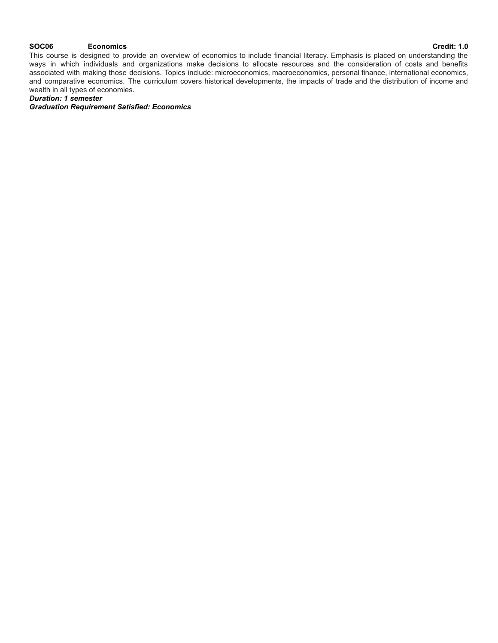### **SOC06 Economics Credit: 1.0**

This course is designed to provide an overview of economics to include financial literacy. Emphasis is placed on understanding the ways in which individuals and organizations make decisions to allocate resources and the consideration of costs and benefits associated with making those decisions. Topics include: microeconomics, macroeconomics, personal finance, international economics, and comparative economics. The curriculum covers historical developments, the impacts of trade and the distribution of income and wealth in all types of economies.

*Duration: 1 semester*

*Graduation Requirement Satisfied: Economics*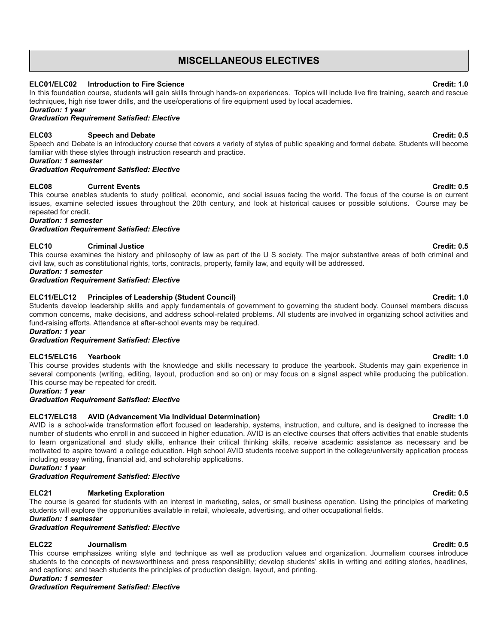# **MISCELLANEOUS ELECTIVES**

# **ELC01/ELC02 Introduction to Fire Science Credit: 1.0**

In this foundation course, students will gain skills through hands-on experiences. Topics will include live fire training, search and rescue techniques, high rise tower drills, and the use/operations of fire equipment used by local academies.

*Duration: 1 year*

*Graduation Requirement Satisfied: Elective*

# **ELC03 Speech and Debate Credit: 0.5**

Speech and Debate is an introductory course that covers a variety of styles of public speaking and formal debate. Students will become familiar with these styles through instruction research and practice.

*Duration: 1 semester*

# *Graduation Requirement Satisfied: Elective*

# **ELC08 Current Events Credit: 0.5**

This course enables students to study political, economic, and social issues facing the world. The focus of the course is on current issues, examine selected issues throughout the 20th century, and look at historical causes or possible solutions. Course may be repeated for credit.

*Duration: 1 semester*

*Graduation Requirement Satisfied: Elective*

# **ELC10 Criminal Justice Credit: 0.5**

This course examines the history and philosophy of law as part of the U S society. The major substantive areas of both criminal and civil law, such as constitutional rights, torts, contracts, property, family law, and equity will be addressed.

*Duration: 1 semester*

### *Graduation Requirement Satisfied: Elective*

# **ELC11/ELC12 Principles of Leadership (Student Council) Credit: 1.0**

Students develop leadership skills and apply fundamentals of government to governing the student body. Counsel members discuss common concerns, make decisions, and address school-related problems. All students are involved in organizing school activities and fund-raising efforts. Attendance at after-school events may be required.

*Duration: 1 year*

### *Graduation Requirement Satisfied: Elective*

### **ELC15/ELC16 Yearbook Credit: 1.0**

This course provides students with the knowledge and skills necessary to produce the yearbook. Students may gain experience in several components (writing, editing, layout, production and so on) or may focus on a signal aspect while producing the publication. This course may be repeated for credit.

*Duration: 1 year*

*Graduation Requirement Satisfied: Elective*

# **ELC17/ELC18 AVID (Advancement Via Individual Determination) Credit: 1.0**

AVID is a school-wide transformation effort focused on leadership, systems, instruction, and culture, and is designed to increase the number of students who enroll in and succeed in higher education. AVID is an elective courses that offers activities that enable students to learn organizational and study skills, enhance their critical thinking skills, receive academic assistance as necessary and be motivated to aspire toward a college education. High school AVID students receive support in the college/university application process including essay writing, financial aid, and scholarship applications.

*Duration: 1 year*

*Graduation Requirement Satisfied: Elective*

# **ELC21 Marketing Exploration Credit: 0.5**

The course is geared for students with an interest in marketing, sales, or small business operation. Using the principles of marketing students will explore the opportunities available in retail, wholesale, advertising, and other occupational fields.

# *Duration: 1 semester*

# *Graduation Requirement Satisfied: Elective*

# **ELC22 Journalism Credit: 0.5**

This course emphasizes writing style and technique as well as production values and organization. Journalism courses introduce students to the concepts of newsworthiness and press responsibility; develop students' skills in writing and editing stories, headlines, and captions; and teach students the principles of production design, layout, and printing.

*Duration: 1 semester Graduation Requirement Satisfied: Elective*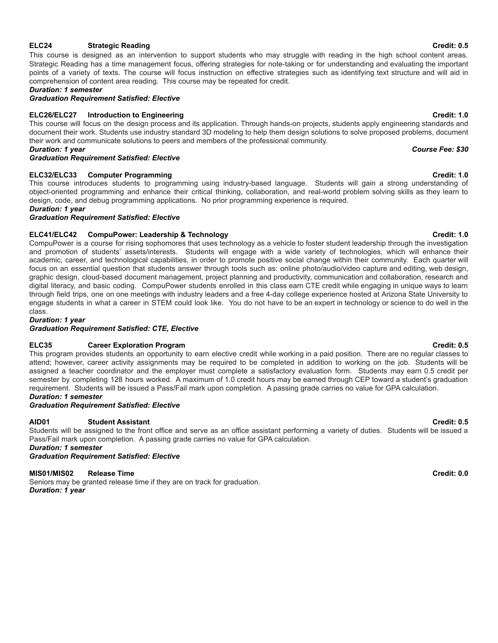# **ELC24 Strategic Reading Credit: 0.5**

This course is designed as an intervention to support students who may struggle with reading in the high school content areas. Strategic Reading has a time management focus, offering strategies for note-taking or for understanding and evaluating the important points of a variety of texts. The course will focus instruction on effective strategies such as identifying text structure and will aid in comprehension of content area reading. This course may be repeated for credit.

# *Duration: 1 semester*

*Graduation Requirement Satisfied: Elective*

# **ELC26/ELC27 Introduction to Engineering Credit: 1.0**

This course will focus on the design process and its application. Through hands-on projects, students apply engineering standards and document their work. Students use industry standard 3D modeling to help them design solutions to solve proposed problems, document their work and communicate solutions to peers and members of the professional community. *Duration: 1 year Course Fee: \$30*

*Graduation Requirement Satisfied: Elective*

# **ELC32/ELC33 Computer Programming Credit: 1.0**

This course introduces students to programming using industry-based language. Students will gain a strong understanding of object-oriented programming and enhance their critical thinking, collaboration, and real-world problem solving skills as they learn to design, code, and debug programming applications. No prior programming experience is required.

### *Duration: 1 year*

*Graduation Requirement Satisfied: Elective*

# **ELC41/ELC42 CompuPower: Leadership & Technology Credit: 1.0**

CompuPower is a course for rising sophomores that uses technology as a vehicle to foster student leadership through the investigation and promotion of students' assets/interests. Students will engage with a wide variety of technologies, which will enhance their academic, career, and technological capabilities, in order to promote positive social change within their community. Each quarter will focus on an essential question that students answer through tools such as: online photo/audio/video capture and editing, web design, graphic design, cloud-based document management, project planning and productivity, communication and collaboration, research and digital literacy, and basic coding. CompuPower students enrolled in this class earn CTE credit while engaging in unique ways to learn through field trips, one on one meetings with industry leaders and a free 4-day college experience hosted at Arizona State University to engage students in what a career in STEM could look like. You do not have to be an expert in technology or science to do well in the class.

*Duration: 1 year*

### *Graduation Requirement Satisfied: CTE, Elective*

### **ELC35 Career Exploration Program Credit: 0.5**

This program provides students an opportunity to earn elective credit while working in a paid position. There are no regular classes to attend; however, career activity assignments may be required to be completed in addition to working on the job. Students will be assigned a teacher coordinator and the employer must complete a satisfactory evaluation form. Students may earn 0.5 credit per semester by completing 128 hours worked. A maximum of 1.0 credit hours may be earned through CEP toward a student's graduation requirement. Students will be issued a Pass/Fail mark upon completion. A passing grade carries no value for GPA calculation.

# *Duration: 1 semester*

### *Graduation Requirement Satisfied: Elective*

### **AID01 Student Assistant Credit: 0.5**

Students will be assigned to the front office and serve as an office assistant performing a variety of duties. Students will be issued a Pass/Fail mark upon completion. A passing grade carries no value for GPA calculation.

*Duration: 1 semester*

*Graduation Requirement Satisfied: Elective*

### **MIS01/MIS02 Release Time Credit: 0.0**

Seniors may be granted release time if they are on track for graduation. *Duration: 1 year*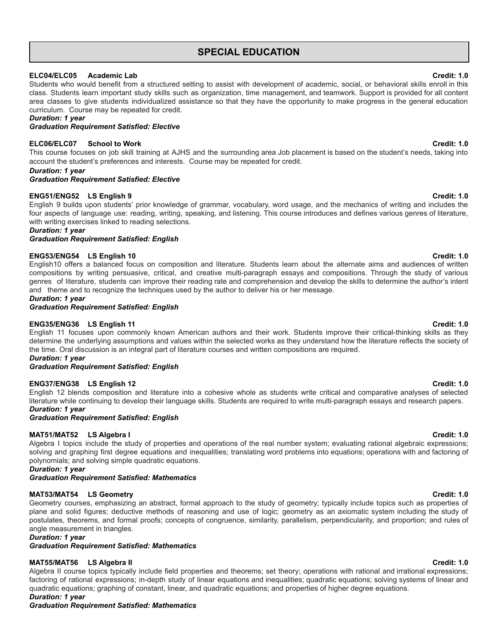# **SPECIAL EDUCATION**

### **ELC04/ELC05 Academic Lab Credit: 1.0**

Students who would benefit from a structured setting to assist with development of academic, social, or behavioral skills enroll in this class. Students learn important study skills such as organization, time management, and teamwork. Support is provided for all content area classes to give students individualized assistance so that they have the opportunity to make progress in the general education curriculum. Course may be repeated for credit.

### *Duration: 1 year*

### *Graduation Requirement Satisfied: Elective*

### **ELC06/ELC07 School to Work Credit: 1.0**

This course focuses on job skill training at AJHS and the surrounding area Job placement is based on the student's needs, taking into account the student's preferences and interests. Course may be repeated for credit.

### *Duration: 1 year*

### *Graduation Requirement Satisfied: Elective*

### **ENG51/ENG52 LS English 9 Credit: 1.0**

English 9 builds upon students' prior knowledge of grammar, vocabulary, word usage, and the mechanics of writing and includes the four aspects of language use: reading, writing, speaking, and listening. This course introduces and defines various genres of literature, with writing exercises linked to reading selections.

*Duration: 1 year*

*Graduation Requirement Satisfied: English*

### **ENG53/ENG54 LS English 10 Credit: 1.0**

English10 offers a balanced focus on composition and literature. Students learn about the alternate aims and audiences of written compositions by writing persuasive, critical, and creative multi-paragraph essays and compositions. Through the study of various genres of literature, students can improve their reading rate and comprehension and develop the skills to determine the author's intent and theme and to recognize the techniques used by the author to deliver his or her message.

# *Duration: 1 year*

*Graduation Requirement Satisfied: English*

### **ENG35/ENG36 LS English 11 Credit: 1.0**

English 11 focuses upon commonly known American authors and their work. Students improve their critical-thinking skills as they determine the underlying assumptions and values within the selected works as they understand how the literature reflects the society of the time. Oral discussion is an integral part of literature courses and written compositions are required.

*Duration: 1 year*

### *Graduation Requirement Satisfied: English*

### **ENG37/ENG38 LS English 12 Credit: 1.0**

English 12 blends composition and literature into a cohesive whole as students write critical and comparative analyses of selected literature while continuing to develop their language skills. Students are required to write multi-paragraph essays and research papers. *Duration: 1 year*

### *Graduation Requirement Satisfied: English*

### **MAT51/MAT52 LS Algebra I Credit: 1.0**

Algebra I topics include the study of properties and operations of the real number system; evaluating rational algebraic expressions; solving and graphing first degree equations and inequalities; translating word problems into equations; operations with and factoring of polynomials; and solving simple quadratic equations.

### *Duration: 1 year*

*Graduation Requirement Satisfied: Mathematics*

### **MAT53/MAT54 LS Geometry Credit: 1.0**

Geometry courses, emphasizing an abstract, formal approach to the study of geometry; typically include topics such as properties of plane and solid figures; deductive methods of reasoning and use of logic; geometry as an axiomatic system including the study of postulates, theorems, and formal proofs; concepts of congruence, similarity, parallelism, perpendicularity, and proportion; and rules of angle measurement in triangles.

### *Duration: 1 year*

*Graduation Requirement Satisfied: Mathematics*

### **MAT55/MAT56 LS Algebra II Credit: 1.0**

Algebra II course topics typically include field properties and theorems; set theory; operations with rational and irrational expressions; factoring of rational expressions; in-depth study of linear equations and inequalities; quadratic equations; solving systems of linear and quadratic equations; graphing of constant, linear, and quadratic equations; and properties of higher degree equations.

### *Duration: 1 year*

*Graduation Requirement Satisfied: Mathematics*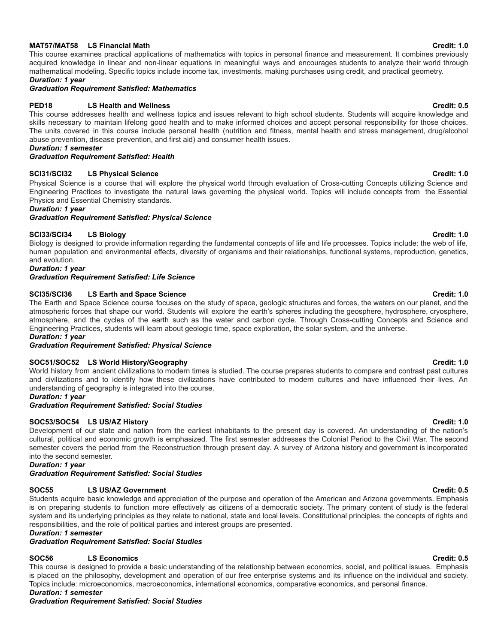### **MAT57/MAT58 LS Financial Math Credit: 1.0**

This course examines practical applications of mathematics with topics in personal finance and measurement. It combines previously acquired knowledge in linear and non-linear equations in meaningful ways and encourages students to analyze their world through mathematical modeling. Specific topics include income tax, investments, making purchases using credit, and practical geometry. *Duration: 1 year*

# *Graduation Requirement Satisfied: Mathematics*

### **PED18 LS Health and Wellness Credit: 0.5**

This course addresses health and wellness topics and issues relevant to high school students. Students will acquire knowledge and skills necessary to maintain lifelong good health and to make informed choices and accept personal responsibility for those choices. The units covered in this course include personal health (nutrition and fitness, mental health and stress management, drug/alcohol abuse prevention, disease prevention, and first aid) and consumer health issues.

*Duration: 1 semester*

*Graduation Requirement Satisfied: Health*

### **SCI31/SCI32 LS Physical Science Credit: 1.0**

Physical Science is a course that will explore the physical world through evaluation of Cross-cutting Concepts utilizing Science and Engineering Practices to investigate the natural laws governing the physical world. Topics will include concepts from the Essential Physics and Essential Chemistry standards.

*Duration: 1 year*

### *Graduation Requirement Satisfied: Physical Science*

# **SCI33/SCI34 LS Biology Credit: 1.0**

Biology is designed to provide information regarding the fundamental concepts of life and life processes. Topics include: the web of life, human population and environmental effects, diversity of organisms and their relationships, functional systems, reproduction, genetics, and evolution.

*Duration: 1 year*

*Graduation Requirement Satisfied: Life Science*

# **SCI35/SCI36 LS Earth and Space Science Credit: 1.0**

The Earth and Space Science course focuses on the study of space, geologic structures and forces, the waters on our planet, and the atmospheric forces that shape our world. Students will explore the earth's spheres including the geosphere, hydrosphere, cryosphere, atmosphere, and the cycles of the earth such as the water and carbon cycle. Through Cross-cutting Concepts and Science and Engineering Practices, students will learn about geologic time, space exploration, the solar system, and the universe. *Duration: 1 year*

*Graduation Requirement Satisfied: Physical Science*

### **SOC51/SOC52 LS World History/Geography Credit: 1.0**

World history from ancient civilizations to modern times is studied. The course prepares students to compare and contrast past cultures and civilizations and to identify how these civilizations have contributed to modern cultures and have influenced their lives. An understanding of geography is integrated into the course.

### *Duration: 1 year*

### *Graduation Requirement Satisfied: Social Studies*

### **SOC53/SOC54 LS US/AZ History Credit: 1.0**

Development of our state and nation from the earliest inhabitants to the present day is covered. An understanding of the nation's cultural, political and economic growth is emphasized. The first semester addresses the Colonial Period to the Civil War. The second semester covers the period from the Reconstruction through present day. A survey of Arizona history and government is incorporated into the second semester.

*Duration: 1 year*

# *Graduation Requirement Satisfied: Social Studies*

# **SOC55 LS US/AZ Government Credit: 0.5**

Students acquire basic knowledge and appreciation of the purpose and operation of the American and Arizona governments. Emphasis is on preparing students to function more effectively as citizens of a democratic society. The primary content of study is the federal system and its underlying principles as they relate to national, state and local levels. Constitutional principles, the concepts of rights and responsibilities, and the role of political parties and interest groups are presented.

### *Duration: 1 semester*

*Graduation Requirement Satisfied: Social Studies*

# **SOC56 LS Economics Credit: 0.5**

This course is designed to provide a basic understanding of the relationship between economics, social, and political issues. Emphasis is placed on the philosophy, development and operation of our free enterprise systems and its influence on the individual and society. Topics include: microeconomics, macroeconomics, international economics, comparative economics, and personal finance. *Duration: 1 semester*

*Graduation Requirement Satisfied: Social Studies*